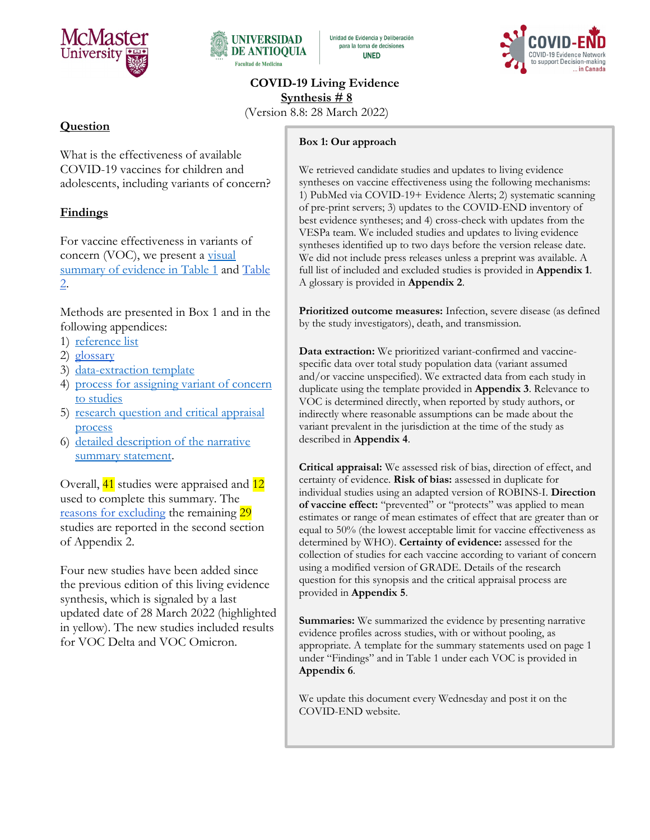



Unidad de Evidencia y Deliberación para la toma de decisiones **UNED** 



**COVID-19 Living Evidence Synthesis # 8**

(Version 8.8: 28 March 2022)

# **Question**

What is the effectiveness of available COVID-19 vaccines for children and adolescents, including variants of concern?

# **Findings**

For vaccine effectiveness in variants of concern (VOC), we present a visual summary of evidence in Table 1 and Table 2.

Methods are presented in Box 1 and in the following appendices:

- 1) [reference list](#page-11-0)
- 2) [glossary](#page-18-0)
- 3) [data-extraction template](#page-19-0)
- 4) [process for assigning variant of concern](#page-19-1)  [to studies](#page-19-1)
- 5) research question and critical appraisal [process](#page-21-0)
- 6) detailed description of the narrative summary statement.

Overall, 41 studies were appraised and 12 used to complete this summary. The [reasons for excluding](#page-17-0) the remaining 29 studies are reported in the second section of Appendix 2.

Four new studies have been added since the previous edition of this living evidence synthesis, which is signaled by a last updated date of 28 March 2022 (highlighted in yellow). The new studies included results for VOC Delta and VOC Omicron.

#### **Box 1: Our approach**

We retrieved candidate studies and updates to living evidence syntheses on vaccine effectiveness using the following mechanisms: 1) PubMed via COVID-19+ Evidence Alerts; 2) systematic scanning of pre-print servers; 3) updates to the COVID-END inventory of best evidence syntheses; and 4) cross-check with updates from the VESPa team. We included studies and updates to living evidence syntheses identified up to two days before the version release date. We did not include press releases unless a preprint was available. A full list of included and excluded studies is provided in **Appendix 1**. A glossary is provided in **Appendix 2**.

**Prioritized outcome measures:** Infection, severe disease (as defined by the study investigators), death, and transmission.

**Data extraction:** We prioritized variant-confirmed and vaccinespecific data over total study population data (variant assumed and/or vaccine unspecified). We extracted data from each study in duplicate using the template provided in **Appendix 3**. Relevance to VOC is determined directly, when reported by study authors, or indirectly where reasonable assumptions can be made about the variant prevalent in the jurisdiction at the time of the study as described in **Appendix 4**.

**Critical appraisal:** We assessed risk of bias, direction of effect, and certainty of evidence. **Risk of bias:** assessed in duplicate for individual studies using an adapted version of ROBINS-I. **Direction of vaccine effect:** "prevented" or "protects" was applied to mean estimates or range of mean estimates of effect that are greater than or equal to 50% (the lowest acceptable limit for vaccine effectiveness as determined by WHO). **Certainty of evidence:** assessed for the collection of studies for each vaccine according to variant of concern using a modified version of GRADE. Details of the research question for this synopsis and the critical appraisal process are provided in **Appendix 5**.

**Summaries:** We summarized the evidence by presenting narrative evidence profiles across studies, with or without pooling, as appropriate. A template for the summary statements used on page 1 under "Findings" and in Table 1 under each VOC is provided in **Appendix 6**.

We update this document every Wednesday and post it on the COVID-END website.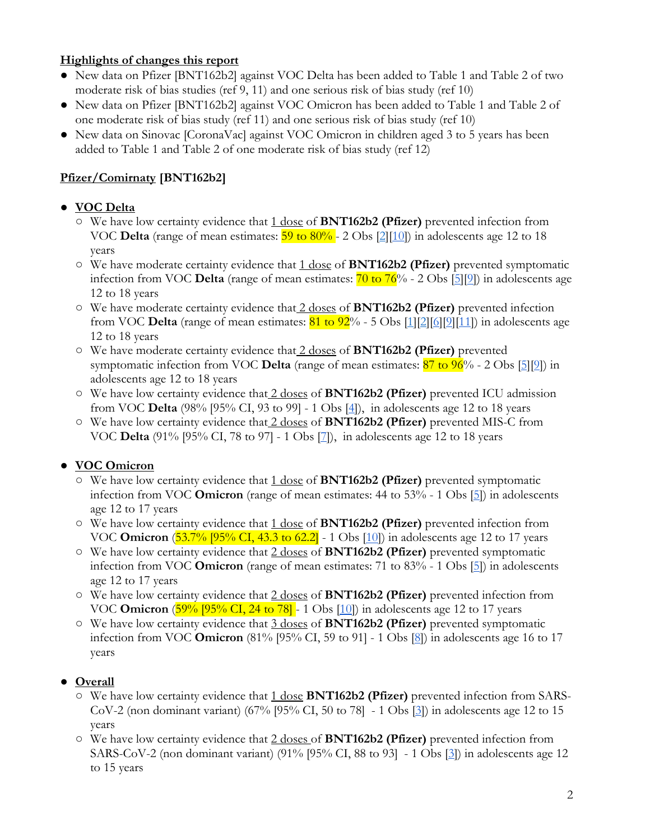### **Highlights of changes this report**

- New data on Pfizer [BNT162b2] against VOC Delta has been added to Table 1 and Table 2 of two moderate risk of bias studies (ref 9, 11) and one serious risk of bias study (ref 10)
- New data on Pfizer [BNT162b2] against VOC Omicron has been added to Table 1 and Table 2 of one moderate risk of bias study (ref 11) and one serious risk of bias study (ref 10)
- New data on Sinovac [CoronaVac] against VOC Omicron in children aged 3 to 5 years has been added to Table 1 and Table 2 of one moderate risk of bias study (ref 12)

# **Pfizer/Comirnaty [BNT162b2]**

### ● **VOC Delta**

- We have low certainty evidence that 1 dose of **BNT162b2 (Pfizer)** prevented infection from VOC **Delta** (range of mean estimates:  $\frac{59 \text{ to } 80\%}{2}$  - 2 Obs  $\frac{2}{10}$ ) in adolescents age 12 to 18 years
- We have moderate certainty evidence that 1 dose of **BNT162b2 (Pfizer)** prevented symptomatic infection from VOC **Delta** (range of mean estimates: 70 to 76% - 2 Obs [\[5\]\[9\]](https://jamanetwork.com/journals/jamanetworkopen/fullarticle/2789579)) in adolescents age 12 to 18 years
- We have moderate certainty evidence that 2 doses of **BNT162b2 (Pfizer)** prevented infection from VOC **Delta** (range of mean estimates: 81 to 92% - 5 Obs [\[1\]](https://pubmed.ncbi.nlm.nih.gov/34570694/)[\[2\]](https://www.nejm.org/doi/full/10.1056/NEJMc2114290)[\[6\]](https://pubmed.ncbi.nlm.nih.gov/34968373/)[\[9\]](https://jamanetwork.com/journals/jamanetworkopen/fullarticle/2789579)[\[11\]](https://www.cdc.gov/mmwr/volumes/71/wr/mm7111e1.htm?s_cid=mm7111e1_w)) in adolescents age 12 to 18 years
- We have moderate certainty evidence that 2 doses of **BNT162b2 (Pfizer)** prevented symptomatic infection from VOC **Delta** (range of mean estimates: 87 to 96% - 2 Obs [\[5\]\[9\]](https://jamanetwork.com/journals/jamanetworkopen/fullarticle/2789579)) in adolescents age 12 to 18 years
- We have low certainty evidence that 2 doses of **BNT162b2 (Pfizer)** prevented ICU admission from VOC **Delta** (98% [95% CI, 93 to 99] - 1 Obs [\[4\]](https://www.nejm.org/doi/full/10.1056/NEJMoa2117995)), in adolescents age 12 to 18 years
- We have low certainty evidence that 2 doses of **BNT162b2 (Pfizer)** prevented MIS-C from VOC **Delta** (91% [95% CI, 78 to 97] - 1 Obs [\[7\]](https://www.cdc.gov/mmwr/volumes/71/wr/mm7102e1.htm)), in adolescents age 12 to 18 years

### ● **VOC Omicron**

- We have low certainty evidence that 1 dose of **BNT162b2 (Pfizer)** prevented symptomatic infection from VOC **Omicron** (range of mean estimates: 44 to 53% - 1 Obs [\[5\]](https://jamanetwork.com/journals/jamanetworkopen/fullarticle/2789579)) in adolescents age 12 to 17 years
- We have low certainty evidence that 1 dose of **BNT162b2 (Pfizer)** prevented infection from VOC **Omicron** (53.7% [95% CI, 43.3 to 62.2] - 1 Obs [\[10\]](https://www.medrxiv.org/content/10.1101/2022.03.13.22272176v1)) in adolescents age 12 to 17 years
- We have low certainty evidence that 2 doses of **BNT162b2 (Pfizer)** prevented symptomatic infection from VOC **Omicron** (range of mean estimates: 71 to 83% - 1 Obs [\[5\]](https://jamanetwork.com/journals/jamanetworkopen/fullarticle/2789579)) in adolescents age 12 to 17 years
- We have low certainty evidence that 2 doses of **BNT162b2 (Pfizer)** prevented infection from VOC **Omicron** (59% [95% CI, 24 to 78] - 1 Obs [\[10\]](https://www.medrxiv.org/content/10.1101/2022.03.13.22272176v1)) in adolescents age 12 to 17 years
- We have low certainty evidence that 3 doses of **BNT162b2 (Pfizer)** prevented symptomatic infection from VOC **Omicron** (81% [95% CI, 59 to 91] - 1 Obs [\[8\]](https://www.cdc.gov/mmwr/volumes/71/wr/mm7109e3.htm?s_cid=mm7109e3_w)) in adolescents age 16 to 17 years

### ● **Overall**

- We have low certainty evidence that 1 dose **BNT162b2 (Pfizer)** prevented infection from SARS-CoV-2 (non dominant variant) (67% [95% CI, 50 to 78] - 1 Obs [\[3\]](https://papers.ssrn.com/sol3/papers.cfm?abstract_id=3909743)) in adolescents age 12 to 15 years
- We have low certainty evidence that 2 doses of **BNT162b2 (Pfizer)** prevented infection from SARS-CoV-2 (non dominant variant) (91% [95% CI, 88 to 93] - 1 Obs [\[3\]](https://papers.ssrn.com/sol3/papers.cfm?abstract_id=3909743)) in adolescents age 12 to 15 years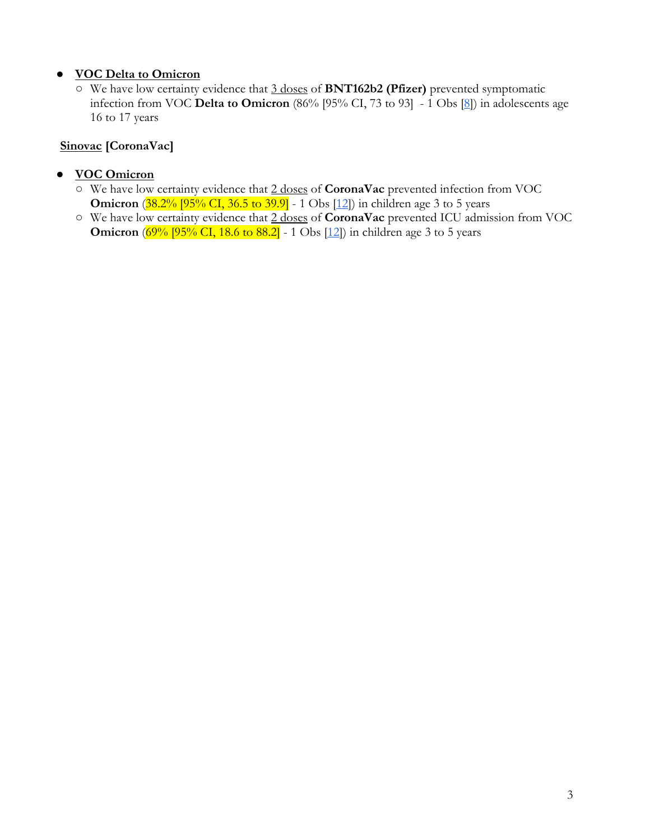### ● **VOC Delta to Omicron**

○ We have low certainty evidence that 3 doses of **BNT162b2 (Pfizer)** prevented symptomatic infection from VOC **Delta to Omicron** (86% [95% CI, 73 to 93] - 1 Obs [\[8\]](https://www.cdc.gov/mmwr/volumes/71/wr/mm7109e3.htm?s_cid=mm7109e3_w)) in adolescents age 16 to 17 years

# **Sinovac [CoronaVac]**

- **VOC Omicron**
	- We have low certainty evidence that 2 doses of **CoronaVac** prevented infection from VOC **Omicron** (38.2% [95% CI, 36.5 to 39.9] - 1 Obs [\[12\]](https://www.researchsquare.com/article/rs-1440357/latest.pdf)) in children age 3 to 5 years
	- We have low certainty evidence that 2 doses of **CoronaVac** prevented ICU admission from VOC **Omicron** (69% [95% CI, 18.6 to 88.2] - 1 Obs [\[12\]](https://www.researchsquare.com/article/rs-1440357/latest.pdf)) in children age 3 to 5 years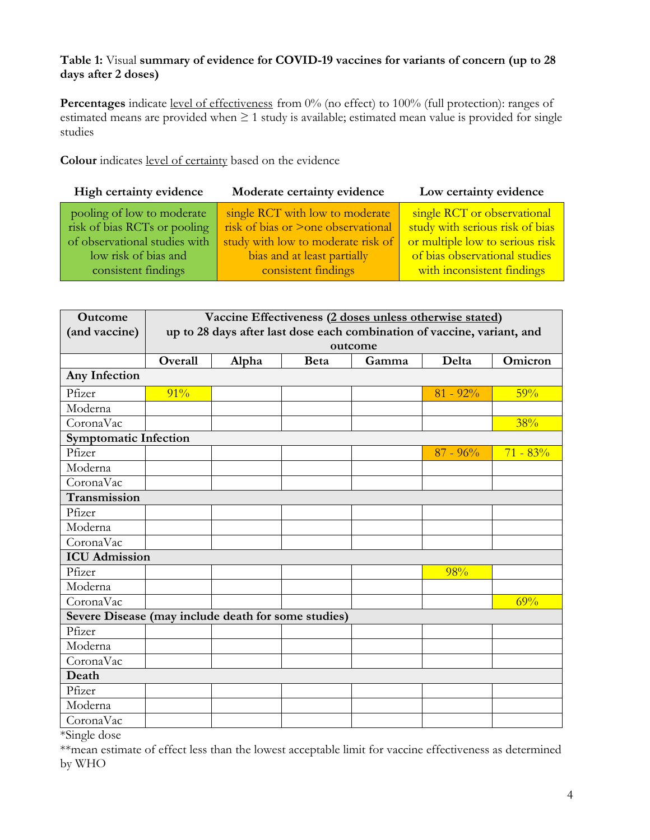### **Table 1:** Visual **summary of evidence for COVID-19 vaccines for variants of concern (up to 28 days after 2 doses)**

Percentages indicate level of effectiveness from 0% (no effect) to 100% (full protection): ranges of estimated means are provided when ≥ 1 study is available; estimated mean value is provided for single studies

**Colour** indicates level of certainty based on the evidence

| High certainty evidence                                                                                                                    | Moderate certainty evidence                                                                                                                                       | Low certainty evidence                                                                                                                                           |
|--------------------------------------------------------------------------------------------------------------------------------------------|-------------------------------------------------------------------------------------------------------------------------------------------------------------------|------------------------------------------------------------------------------------------------------------------------------------------------------------------|
| pooling of low to moderate<br>risk of bias RCTs or pooling<br>of observational studies with<br>low risk of bias and<br>consistent findings | single RCT with low to moderate<br>risk of bias or >one observational<br>study with low to moderate risk of<br>bias and at least partially<br>consistent findings | single RCT or observational<br>study with serious risk of bias<br>or multiple low to serious risk<br>of bias observational studies<br>with inconsistent findings |
|                                                                                                                                            |                                                                                                                                                                   |                                                                                                                                                                  |

| Outcome                                             | Vaccine Effectiveness (2 doses unless otherwise stated)                 |       |             |       |             |            |
|-----------------------------------------------------|-------------------------------------------------------------------------|-------|-------------|-------|-------------|------------|
| (and vaccine)                                       | up to 28 days after last dose each combination of vaccine, variant, and |       |             |       |             |            |
|                                                     | outcome                                                                 |       |             |       |             |            |
|                                                     | Overall                                                                 | Alpha | <b>Beta</b> | Gamma | Delta       | Omicron    |
| Any Infection                                       |                                                                         |       |             |       |             |            |
| Pfizer                                              | 91%                                                                     |       |             |       | $81 - 92%$  | 59%        |
| Moderna                                             |                                                                         |       |             |       |             |            |
| CoronaVac                                           |                                                                         |       |             |       |             | 38%        |
| <b>Symptomatic Infection</b>                        |                                                                         |       |             |       |             |            |
| Pfizer                                              |                                                                         |       |             |       | $87 - 96\%$ | $71 - 83%$ |
| Moderna                                             |                                                                         |       |             |       |             |            |
| CoronaVac                                           |                                                                         |       |             |       |             |            |
| Transmission                                        |                                                                         |       |             |       |             |            |
| Pfizer                                              |                                                                         |       |             |       |             |            |
| Moderna                                             |                                                                         |       |             |       |             |            |
| CoronaVac                                           |                                                                         |       |             |       |             |            |
| <b>ICU</b> Admission                                |                                                                         |       |             |       |             |            |
| Pfizer                                              |                                                                         |       |             |       | 98%         |            |
| Moderna                                             |                                                                         |       |             |       |             |            |
| CoronaVac                                           |                                                                         |       |             |       |             | 69%        |
| Severe Disease (may include death for some studies) |                                                                         |       |             |       |             |            |
| Pfizer                                              |                                                                         |       |             |       |             |            |
| Moderna                                             |                                                                         |       |             |       |             |            |
| CoronaVac                                           |                                                                         |       |             |       |             |            |
| Death                                               |                                                                         |       |             |       |             |            |
| Pfizer                                              |                                                                         |       |             |       |             |            |
| Moderna                                             |                                                                         |       |             |       |             |            |
| CoronaVac                                           |                                                                         |       |             |       |             |            |

\*Single dose

\*\*mean estimate of effect less than the lowest acceptable limit for vaccine effectiveness as determined by WHO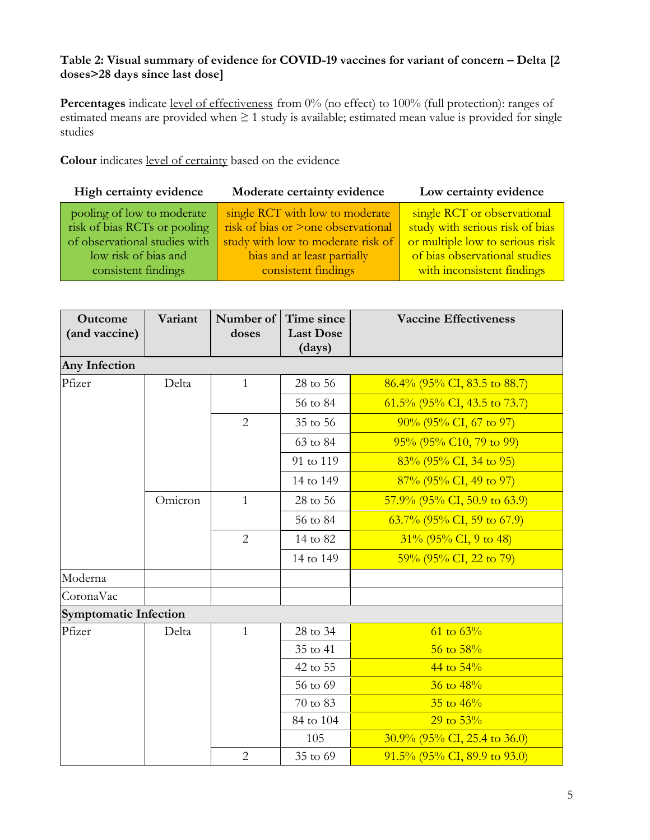# **Table 2: Visual summary of evidence for COVID-19 vaccines for variant of concern – Delta [2 doses>28 days since last dose]**

Percentages indicate level of effectiveness from 0% (no effect) to 100% (full protection): ranges of estimated means are provided when ≥ 1 study is available; estimated mean value is provided for single studies

**Colour** indicates level of certainty based on the evidence

| single RCT with low to moderate<br>pooling of low to moderate<br>risk of bias RCTs or pooling<br>risk of bias or >one observational<br>of observational studies with<br>study with low to moderate risk of<br>bias and at least partially | High certainty evidence | Low certainty evidence                                                                                                                                           |  |
|-------------------------------------------------------------------------------------------------------------------------------------------------------------------------------------------------------------------------------------------|-------------------------|------------------------------------------------------------------------------------------------------------------------------------------------------------------|--|
| consistent findings<br>consistent findings                                                                                                                                                                                                | low risk of bias and    | single RCT or observational<br>study with serious risk of bias<br>or multiple low to serious risk<br>of bias observational studies<br>with inconsistent findings |  |

| Outcome<br>(and vaccine)     | Variant | Number of<br>doses | Time since<br><b>Last Dose</b><br>(days) | <b>Vaccine Effectiveness</b>    |
|------------------------------|---------|--------------------|------------------------------------------|---------------------------------|
| <b>Any Infection</b>         |         |                    |                                          |                                 |
| Pfizer                       | Delta   | $\mathbf{1}$       | 28 to 56                                 | $86.4\%$ (95% CI, 83.5 to 88.7) |
|                              |         |                    | 56 to 84                                 | $61.5\%$ (95% CI, 43.5 to 73.7) |
|                              |         | $\overline{2}$     | 35 to 56                                 | $90\%$ (95% CI, 67 to 97)       |
|                              |         |                    | 63 to 84                                 | $95\%$ (95% C10, 79 to 99)      |
|                              |         |                    | 91 to 119                                | 83% (95% CI, 34 to 95)          |
|                              |         |                    | 14 to 149                                | $87\%$ (95% CI, 49 to 97)       |
|                              | Omicron | $\mathbf{1}$       | 28 to 56                                 | $57.9\%$ (95% CI, 50.9 to 63.9) |
|                              |         |                    | 56 to 84                                 | $63.7\%$ (95% CI, 59 to 67.9)   |
|                              |         | $\overline{2}$     | 14 to 82                                 | $31\%$ (95% CI, 9 to 48)        |
|                              |         |                    | 14 to 149                                | $59\%$ (95% CI, 22 to 79)       |
| Moderna                      |         |                    |                                          |                                 |
| CoronaVac                    |         |                    |                                          |                                 |
| <b>Symptomatic Infection</b> |         |                    |                                          |                                 |
| Pfizer                       | Delta   | $\mathbf{1}$       | 28 to 34                                 | $61 \text{ to } 63\%$           |
|                              |         |                    | 35 to 41                                 | $56$ to $58\%$                  |
|                              |         |                    | 42 to 55                                 | 44 to $54\%$                    |
|                              |         |                    | 56 to 69                                 | $36$ to $48\%$                  |
|                              |         |                    | 70 to 83                                 | $35$ to $46\%$                  |
|                              |         |                    | 84 to 104                                | $29$ to $53%$                   |
|                              |         |                    | 105                                      | $30.9\%$ (95% CI, 25.4 to 36.0) |
|                              |         | $\overline{2}$     | 35 to 69                                 | $91.5\%$ (95% CI, 89.9 to 93.0) |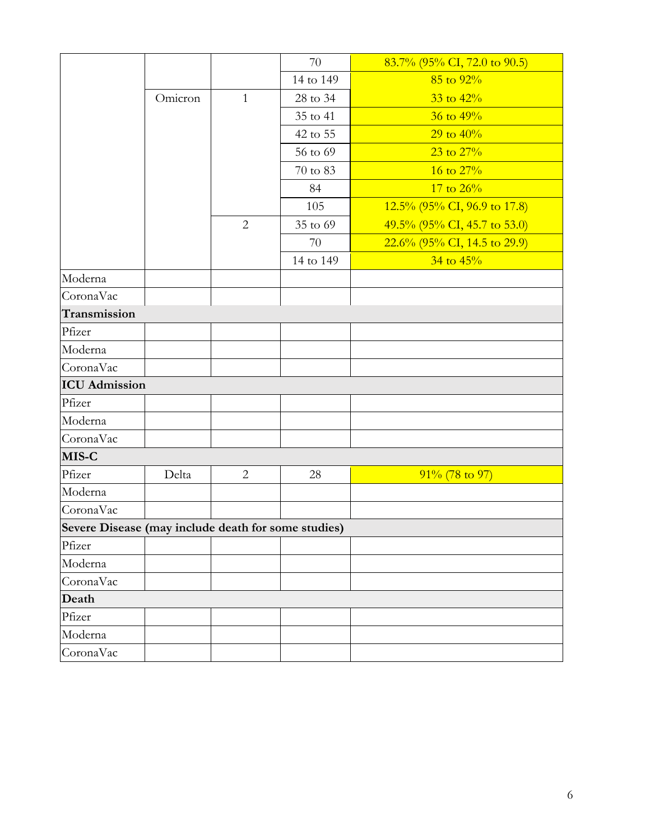|                                                     |         |                | 70        | $83.7\%$ (95% CI, 72.0 to 90.5) |
|-----------------------------------------------------|---------|----------------|-----------|---------------------------------|
|                                                     |         |                | 14 to 149 | $85$ to $92\%$                  |
|                                                     | Omicron | $\mathbf{1}$   | 28 to 34  | $33$ to $42\%$                  |
|                                                     |         |                | 35 to 41  | $36$ to $49\%$                  |
|                                                     |         |                | 42 to 55  | 29 to $40\%$                    |
|                                                     |         |                | 56 to 69  | $23 \text{ to } 27\%$           |
|                                                     |         |                | 70 to 83  | 16 to $27%$                     |
|                                                     |         |                | 84        | 17 to $26\%$                    |
|                                                     |         |                | 105       | $12.5\%$ (95% CI, 96.9 to 17.8) |
|                                                     |         | $\overline{2}$ | 35 to 69  | 49.5% (95% CI, 45.7 to 53.0)    |
|                                                     |         |                | 70        | $22.6\%$ (95% CI, 14.5 to 29.9) |
|                                                     |         |                | 14 to 149 | $34$ to $45%$                   |
| Moderna                                             |         |                |           |                                 |
| CoronaVac                                           |         |                |           |                                 |
| Transmission                                        |         |                |           |                                 |
| Pfizer                                              |         |                |           |                                 |
| Moderna                                             |         |                |           |                                 |
| CoronaVac                                           |         |                |           |                                 |
| <b>ICU</b> Admission                                |         |                |           |                                 |
| Pfizer                                              |         |                |           |                                 |
| Moderna                                             |         |                |           |                                 |
| CoronaVac                                           |         |                |           |                                 |
| MIS-C                                               |         |                |           |                                 |
| Pfizer                                              | Delta   | $\overline{2}$ | 28        | $91\%$ (78 to 97)               |
| Moderna                                             |         |                |           |                                 |
| CoronaVac                                           |         |                |           |                                 |
| Severe Disease (may include death for some studies) |         |                |           |                                 |
| Pfizer                                              |         |                |           |                                 |
| Moderna                                             |         |                |           |                                 |
| CoronaVac                                           |         |                |           |                                 |
| Death                                               |         |                |           |                                 |
| Pfizer                                              |         |                |           |                                 |
| Moderna                                             |         |                |           |                                 |
| CoronaVac                                           |         |                |           |                                 |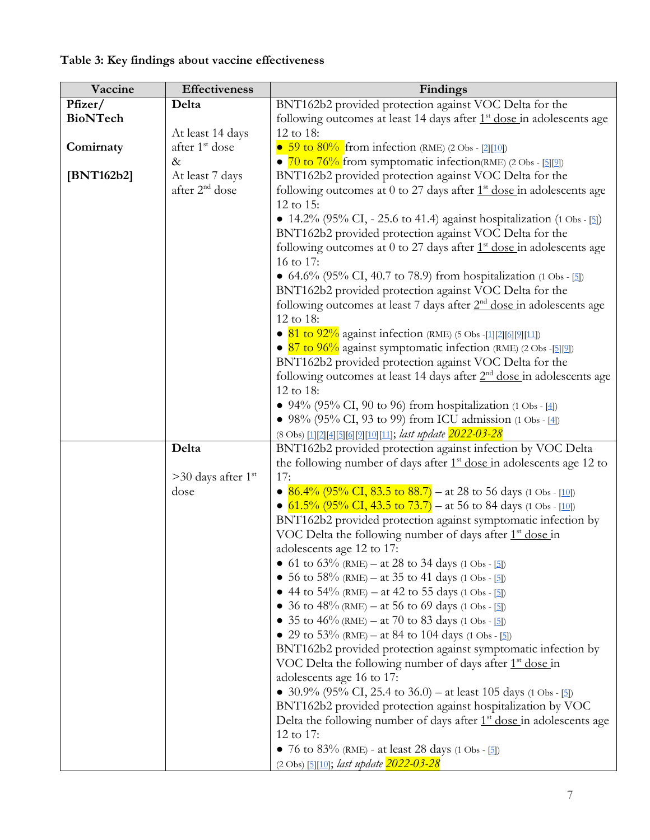| Vaccine         | <b>Effectiveness</b>             | Findings                                                                                                |
|-----------------|----------------------------------|---------------------------------------------------------------------------------------------------------|
| Pfizer/         | Delta                            | BNT162b2 provided protection against VOC Delta for the                                                  |
| <b>BioNTech</b> |                                  | following outcomes at least 14 days after $1st$ dose in adolescents age                                 |
|                 | At least 14 days                 | 12 to 18:                                                                                               |
| Comirnaty       | after 1 <sup>st</sup> dose       | • 59 to $80\%$ from infection (RME) (2 Obs - [2][10])                                                   |
|                 | $\&$                             | • $\frac{70 \text{ to } 76\%}{20 \text{ from } 90\%}$ from symptomatic infection (RME) (2 Obs - [5][2]) |
| [BNT162b2]      | At least 7 days                  | BNT162b2 provided protection against VOC Delta for the                                                  |
|                 | after 2 <sup>nd</sup> dose       | following outcomes at 0 to 27 days after $1st$ dose in adolescents age                                  |
|                 |                                  | 12 to 15:                                                                                               |
|                 |                                  | • 14.2% (95% CI, - 25.6 to 41.4) against hospitalization (1 Obs - [5])                                  |
|                 |                                  | BNT162b2 provided protection against VOC Delta for the                                                  |
|                 |                                  | following outcomes at 0 to 27 days after $1st$ dose in adolescents age                                  |
|                 |                                  | 16 to 17:                                                                                               |
|                 |                                  | • 64.6% (95% CI, 40.7 to 78.9) from hospitalization (1 Obs - [5])                                       |
|                 |                                  | BNT162b2 provided protection against VOC Delta for the                                                  |
|                 |                                  | following outcomes at least 7 days after 2 <sup>nd</sup> dose in adolescents age                        |
|                 |                                  |                                                                                                         |
|                 |                                  | 12 to 18:                                                                                               |
|                 |                                  | • 81 to $92\%$ against infection (RME) (5 Obs -[1][2][6][2][11])                                        |
|                 |                                  | • $87$ to $96\%$ against symptomatic infection (RME) (2 Obs -[5][2])                                    |
|                 |                                  | BNT162b2 provided protection against VOC Delta for the                                                  |
|                 |                                  | following outcomes at least 14 days after $2nd$ dose in adolescents age                                 |
|                 |                                  | 12 to 18:                                                                                               |
|                 |                                  | • 94% (95% CI, 90 to 96) from hospitalization (1 Obs - [4])                                             |
|                 |                                  | • 98% (95% CI, 93 to 99) from ICU admission (1 Obs - [4])                                               |
|                 |                                  | (8 Obs) [1][2][4][5][6][9][10][11]; last update 2022-03-28                                              |
|                 | Delta                            | BNT162b2 provided protection against infection by VOC Delta                                             |
|                 |                                  | the following number of days after $1st$ dose in adolescents age 12 to                                  |
|                 | $>30$ days after 1 <sup>st</sup> | 17:                                                                                                     |
|                 | dose                             | • $86.4\%$ (95% CI, 83.5 to 88.7) – at 28 to 56 days (1 Obs - [10])                                     |
|                 |                                  | • $61.5\%$ (95% CI, 43.5 to 73.7) – at 56 to 84 days (1 Obs - [10])                                     |
|                 |                                  | BNT162b2 provided protection against symptomatic infection by                                           |
|                 |                                  | VOC Delta the following number of days after 1 <sup>st</sup> dose in                                    |
|                 |                                  | adolescents age 12 to 17:                                                                               |
|                 |                                  | • 61 to 63% (RME) – at 28 to 34 days (1 Obs - [5])                                                      |
|                 |                                  | • 56 to 58% (RME) – at 35 to 41 days (1 Obs - [5])                                                      |
|                 |                                  | • 44 to $54\%$ (RME) – at 42 to 55 days (1 Obs - [5])                                                   |
|                 |                                  | • 36 to 48% (RME) – at 56 to 69 days (1 Obs - [5])                                                      |
|                 |                                  | • 35 to 46% (RME) – at 70 to 83 days (1 Obs - [5])                                                      |
|                 |                                  | • 29 to 53% (RME) – at 84 to 104 days (1 Obs - [5])                                                     |
|                 |                                  | BNT162b2 provided protection against symptomatic infection by                                           |
|                 |                                  | VOC Delta the following number of days after $1st$ dose in                                              |
|                 |                                  | adolescents age 16 to 17:                                                                               |
|                 |                                  | • 30.9% (95% CI, 25.4 to 36.0) – at least 105 days (1 Obs - [5])                                        |
|                 |                                  | BNT162b2 provided protection against hospitalization by VOC                                             |
|                 |                                  | Delta the following number of days after 1 <sup>st</sup> dose in adolescents age                        |
|                 |                                  | 12 to 17:                                                                                               |
|                 |                                  | • 76 to 83% (RME) - at least 28 days (1 Obs - [5])                                                      |
|                 |                                  | (2 Obs) [5][10]; last update 2022-03-28                                                                 |

# **Table 3: Key findings about vaccine effectiveness**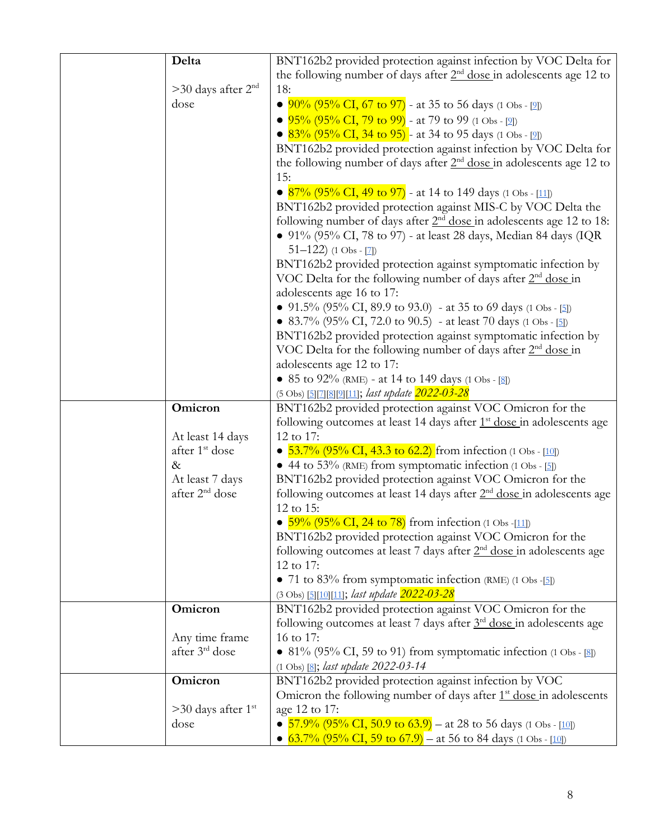| Delta                            | BNT162b2 provided protection against infection by VOC Delta for                   |
|----------------------------------|-----------------------------------------------------------------------------------|
|                                  | the following number of days after $2nd$ dose in adolescents age 12 to            |
| $>30$ days after $2nd$           | 18:                                                                               |
| dose                             | • $90\%$ (95% CI, 67 to 97) - at 35 to 56 days (1 Obs - [2])                      |
|                                  | • $95\%$ (95% CI, 79 to 99) - at 79 to 99 (1 Obs - [2])                           |
|                                  | • $83\%$ (95% CI, 34 to 95) - at 34 to 95 days (1 Obs - [2])                      |
|                                  | BNT162b2 provided protection against infection by VOC Delta for                   |
|                                  | the following number of days after $2nd$ dose in adolescents age 12 to            |
|                                  | 15:                                                                               |
|                                  |                                                                                   |
|                                  | • $87\%$ (95% CI, 49 to 97) - at 14 to 149 days (1 Obs - [11])                    |
|                                  | BNT162b2 provided protection against MIS-C by VOC Delta the                       |
|                                  | following number of days after $2nd$ dose in adolescents age 12 to 18:            |
|                                  | • 91% (95% CI, 78 to 97) - at least 28 days, Median 84 days (IQR                  |
|                                  | $51-122$ ) (1 Obs - [7])                                                          |
|                                  | BNT162b2 provided protection against symptomatic infection by                     |
|                                  | VOC Delta for the following number of days after $2nd$ dose in                    |
|                                  | adolescents age 16 to 17:                                                         |
|                                  | • 91.5% (95% CI, 89.9 to 93.0) - at 35 to 69 days (1 Obs - [5])                   |
|                                  | • 83.7% (95% CI, 72.0 to 90.5) - at least 70 days (1 Obs - [5])                   |
|                                  | BNT162b2 provided protection against symptomatic infection by                     |
|                                  | VOC Delta for the following number of days after $2nd$ dose in                    |
|                                  | adolescents age 12 to 17:                                                         |
|                                  | • 85 to 92% (RME) - at 14 to 149 days (1 Obs - [8])                               |
| Omicron                          | (5 Obs) [5][7][8][9][11]; last update 2022-03-28                                  |
|                                  |                                                                                   |
|                                  | BNT162b2 provided protection against VOC Omicron for the                          |
|                                  | following outcomes at least 14 days after 1 <sup>st</sup> dose in adolescents age |
| At least 14 days                 | 12 to 17:                                                                         |
| after 1 <sup>st</sup> dose       | • $53.7\%$ (95% CI, 43.3 to 62.2) from infection (1 Obs - [10])                   |
| $\&$                             | $\bullet$ 44 to 53% (RME) from symptomatic infection (1 Obs - [5])                |
| At least 7 days                  | BNT162b2 provided protection against VOC Omicron for the                          |
| after 2 <sup>nd</sup> dose       | following outcomes at least 14 days after 2 <sup>nd</sup> dose in adolescents age |
|                                  | 12 to 15:                                                                         |
|                                  | • $59\%$ (95% CI, 24 to 78) from infection (1 Obs -[11])                          |
|                                  | BNT162b2 provided protection against VOC Omicron for the                          |
|                                  | following outcomes at least 7 days after $2nd$ dose in adolescents age            |
|                                  | 12 to 17:                                                                         |
|                                  | • 71 to 83% from symptomatic infection (RME) $(1 \text{ Obs } -5)$                |
|                                  | (3 Obs) [5][10][11]; last update 2022-03-28                                       |
| Omicron                          | BNT162b2 provided protection against VOC Omicron for the                          |
|                                  | following outcomes at least 7 days after $3rd$ dose in adolescents age            |
| Any time frame                   | 16 to 17:                                                                         |
| after 3 <sup>rd</sup> dose       | • 81% (95% CI, 59 to 91) from symptomatic infection $(1 \text{ Obs} - [8])$       |
|                                  | $(1 \text{ Obs})$ [8]; <i>last update 2022-03-14</i>                              |
| Omicron                          | BNT162b2 provided protection against infection by VOC                             |
|                                  | Omicron the following number of days after $1st$ dose in adolescents              |
| $>30$ days after 1 <sup>st</sup> | age 12 to 17:                                                                     |
| dose                             | • $63.7\%$ (95% CI, 59 to 67.9) – at 56 to 84 days (1 Obs - [10])                 |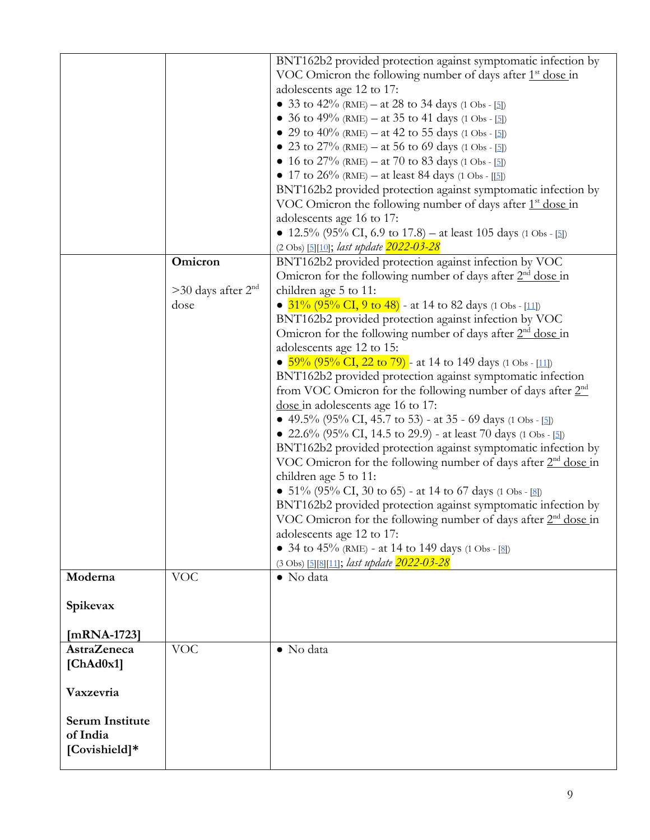|                        |                        | BNT162b2 provided protection against symptomatic infection by              |
|------------------------|------------------------|----------------------------------------------------------------------------|
|                        |                        | VOC Omicron the following number of days after $1st$ dose in               |
|                        |                        | adolescents age 12 to 17:                                                  |
|                        |                        | • 33 to 42% (RME) – at 28 to 34 days (1 Obs - [5])                         |
|                        |                        | • 36 to 49% (RME) – at 35 to 41 days (1 Obs - [5])                         |
|                        |                        | • 29 to 40% (RME) – at 42 to 55 days (1 Obs - [5])                         |
|                        |                        | • 23 to $27\%$ (RME) – at 56 to 69 days (1 Obs - [5])                      |
|                        |                        | • 16 to 27% (RME) – at 70 to 83 days (1 Obs - [5])                         |
|                        |                        | • 17 to 26% (RME) – at least 84 days (1 Obs - [[5])                        |
|                        |                        | BNT162b2 provided protection against symptomatic infection by              |
|                        |                        | VOC Omicron the following number of days after $1st$ dose in               |
|                        |                        | adolescents age 16 to 17:                                                  |
|                        |                        | • 12.5% (95% CI, 6.9 to 17.8) – at least 105 days (1 Obs - [5])            |
|                        |                        | (2 Obs) [5][10]; last update 2022-03-28                                    |
|                        | Omicron                | BNT162b2 provided protection against infection by VOC                      |
|                        |                        | Omicron for the following number of days after 2 <sup>nd</sup> dose in     |
|                        | $>30$ days after $2nd$ | children age 5 to 11:                                                      |
|                        | dose                   | • $31\%$ (95% CI, 9 to 48) - at 14 to 82 days (1 Obs - [11])               |
|                        |                        | BNT162b2 provided protection against infection by VOC                      |
|                        |                        | Omicron for the following number of days after $2nd$ dose in               |
|                        |                        | adolescents age 12 to 15:                                                  |
|                        |                        | • $59\%$ (95% CI, 22 to 79) - at 14 to 149 days (1 Obs - [11])             |
|                        |                        | BNT162b2 provided protection against symptomatic infection                 |
|                        |                        | from VOC Omicron for the following number of days after $2nd$              |
|                        |                        | dose in adolescents age 16 to 17:                                          |
|                        |                        | • 49.5% (95% CI, 45.7 to 53) - at 35 - 69 days (1 Obs - [5])               |
|                        |                        | • 22.6% (95% CI, 14.5 to 29.9) - at least 70 days (1 Obs - [5])            |
|                        |                        | BNT162b2 provided protection against symptomatic infection by              |
|                        |                        | VOC Omicron for the following number of days after $2nd$ dose in           |
|                        |                        | children age 5 to 11:                                                      |
|                        |                        | • $51\%$ (95% CI, 30 to 65) - at 14 to 67 days (1 Obs - [8])               |
|                        |                        | BNT162b2 provided protection against symptomatic infection by              |
|                        |                        | VOC Omicron for the following number of days after 2 <sup>nd</sup> dose in |
|                        |                        | adolescents age 12 to 17:                                                  |
|                        |                        | • 34 to 45% (RME) - at 14 to 149 days (1 Obs - [8])                        |
|                        |                        | (3 Obs) [5] [8] [11]; last update 2022-03-28                               |
| Moderna                | <b>VOC</b>             | • No data                                                                  |
|                        |                        |                                                                            |
| Spikevax               |                        |                                                                            |
|                        |                        |                                                                            |
| $[mRNA-1723]$          |                        |                                                                            |
| <b>AstraZeneca</b>     | <b>VOC</b>             | · No data                                                                  |
|                        |                        |                                                                            |
| [ChAd0x1]              |                        |                                                                            |
|                        |                        |                                                                            |
| Vaxzevria              |                        |                                                                            |
|                        |                        |                                                                            |
| <b>Serum Institute</b> |                        |                                                                            |
| of India               |                        |                                                                            |
| [Covishield]*          |                        |                                                                            |
|                        |                        |                                                                            |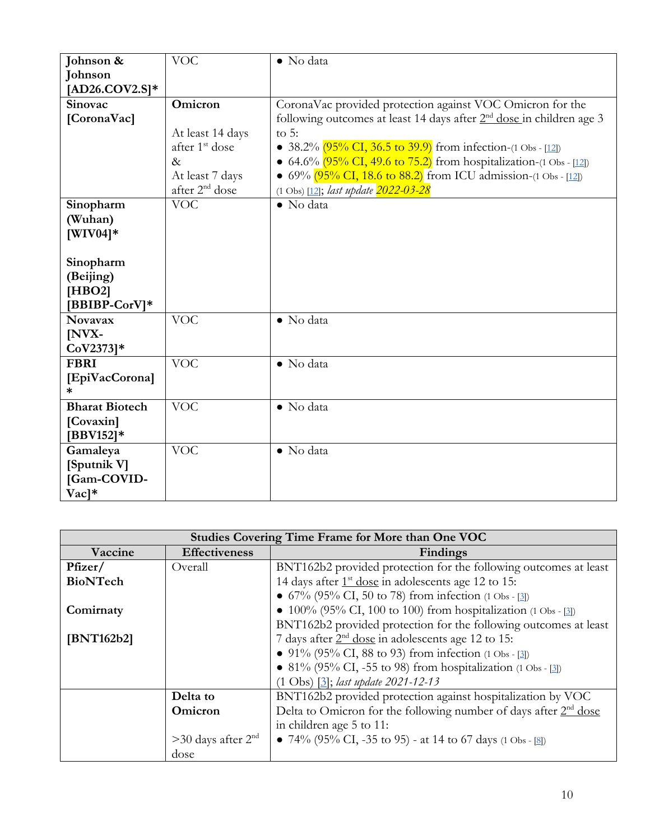| Johnson &              | <b>VOC</b>                 | • No data                                                                              |
|------------------------|----------------------------|----------------------------------------------------------------------------------------|
| <b>Johnson</b>         |                            |                                                                                        |
| $[AD26.COV2.S]*$       |                            |                                                                                        |
| Sinovac                | Omicron                    | CoronaVac provided protection against VOC Omicron for the                              |
| [CoronaVac]            |                            | following outcomes at least 14 days after 2 <sup>nd</sup> dose in children age 3       |
|                        | At least 14 days           | to $5:$                                                                                |
|                        | after 1 <sup>st</sup> dose | • $38.2\%$ $(95\% \text{ CI}, 36.5 \text{ to } 39.9)$ from infection-(1 Obs - [12])    |
|                        | $\&$                       | • 64.6% $(95\% \text{ CI}, 49.6 \text{ to } 75.2)$ from hospitalization-(1 Obs - [12]) |
|                        | At least 7 days            | • $69\%$ $(95\% \text{ CI}, 18.6 \text{ to } 88.2)$ from ICU admission-(1 Obs - [12])  |
|                        | after 2 <sup>nd</sup> dose | (1 Obs) [12]; last update 2022-03-28                                                   |
| Sinopharm              | <b>VOC</b>                 | · No data                                                                              |
| (Wuhan)                |                            |                                                                                        |
| $[WIV04]*$             |                            |                                                                                        |
|                        |                            |                                                                                        |
| Sinopharm              |                            |                                                                                        |
| (Beijing)              |                            |                                                                                        |
| [HBO2]                 |                            |                                                                                        |
| [BBIBP-CorV]*          |                            |                                                                                        |
| <b>Novavax</b>         | <b>VOC</b>                 | • No data                                                                              |
| [NVX-                  |                            |                                                                                        |
| $CoV2373]*$            |                            |                                                                                        |
| <b>FBRI</b>            | <b>VOC</b>                 | • No data                                                                              |
| [EpiVacCorona]         |                            |                                                                                        |
| *                      |                            |                                                                                        |
| <b>Bharat Biotech</b>  | <b>VOC</b>                 | • No data                                                                              |
| [Covaxin]              |                            |                                                                                        |
| $[BBV152]*$            |                            |                                                                                        |
| Gamaleya               | <b>VOC</b>                 | • No data                                                                              |
| [Sputnik V]            |                            |                                                                                        |
| [Gam-COVID-            |                            |                                                                                        |
| $\rm Vac$ <sup>*</sup> |                            |                                                                                        |

| <b>Studies Covering Time Frame for More than One VOC</b> |                                                                               |                                                                   |  |
|----------------------------------------------------------|-------------------------------------------------------------------------------|-------------------------------------------------------------------|--|
| Vaccine                                                  | <b>Effectiveness</b>                                                          | Findings                                                          |  |
| Pfizer/                                                  | Overall                                                                       | BNT162b2 provided protection for the following outcomes at least  |  |
| BioNTech                                                 |                                                                               | 14 days after 1 <sup>st</sup> dose in adolescents age 12 to 15:   |  |
|                                                          |                                                                               | • $67\%$ (95% CI, 50 to 78) from infection (1 Obs - [3])          |  |
| Comirnaty                                                |                                                                               | • $100\%$ (95% CI, 100 to 100) from hospitalization (1 Obs - [3]) |  |
|                                                          |                                                                               | BNT162b2 provided protection for the following outcomes at least  |  |
| [BNT162b2]                                               |                                                                               | 7 days after $2nd$ dose in adolescents age 12 to 15:              |  |
|                                                          |                                                                               | • 91% (95% CI, 88 to 93) from infection (1 Obs - [3])             |  |
|                                                          |                                                                               | • 81% (95% CI, -55 to 98) from hospitalization (1 Obs - [3])      |  |
|                                                          | $(1 \text{ Obs})$ $[3]$ ; <i>last update 2021-12-13</i>                       |                                                                   |  |
|                                                          | Delta to                                                                      | BNT162b2 provided protection against hospitalization by VOC       |  |
|                                                          | Delta to Omicron for the following number of days after $2nd$ dose<br>Omicron |                                                                   |  |
|                                                          |                                                                               | in children age 5 to 11:                                          |  |
|                                                          | $>30$ days after $2nd$                                                        | • 74% (95% CI, -35 to 95) - at 14 to 67 days (1 Obs - [8])        |  |
|                                                          | dose                                                                          |                                                                   |  |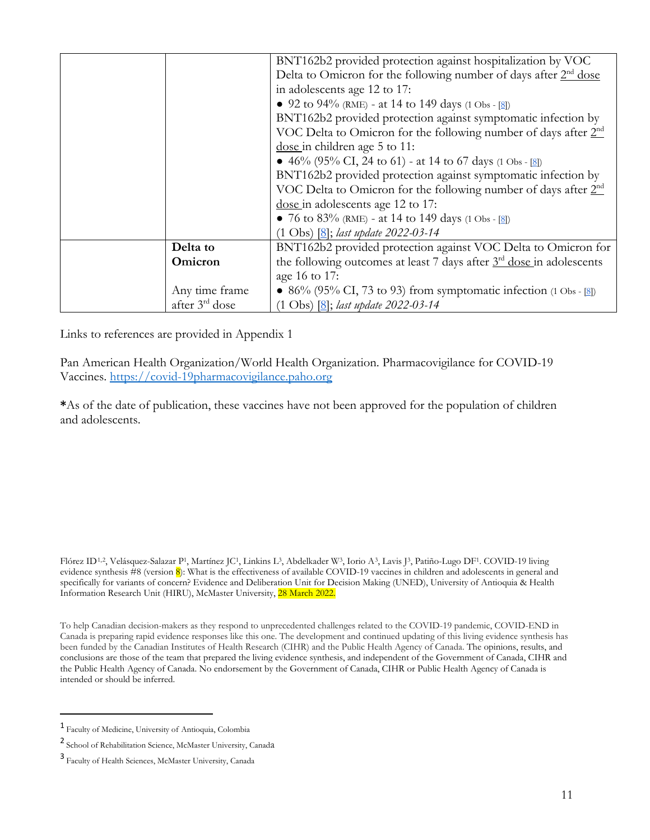|                            | BNT162b2 provided protection against hospitalization by VOC                      |  |
|----------------------------|----------------------------------------------------------------------------------|--|
|                            | Delta to Omicron for the following number of days after 2 <sup>nd</sup> dose     |  |
|                            | in adolescents age 12 to 17:                                                     |  |
|                            | • 92 to 94% (RME) - at 14 to 149 days (1 Obs - [8])                              |  |
|                            | BNT162b2 provided protection against symptomatic infection by                    |  |
|                            | VOC Delta to Omicron for the following number of days after 2 <sup>nd</sup>      |  |
|                            | dose in children age 5 to 11:                                                    |  |
|                            | • 46% (95% CI, 24 to 61) - at 14 to 67 days (1 Obs - [8])                        |  |
|                            | BNT162b2 provided protection against symptomatic infection by                    |  |
|                            | VOC Delta to Omicron for the following number of days after 2 <sup>nd</sup>      |  |
|                            | dose in adolescents age 12 to 17:                                                |  |
|                            | • 76 to 83% (RME) - at 14 to 149 days (1 Obs - [8])                              |  |
|                            | $(1 \text{ Obs})$ $[8]$ ; <i>last update 2022-03-14</i>                          |  |
| Delta to                   | BNT162b2 provided protection against VOC Delta to Omicron for                    |  |
| Omicron                    | the following outcomes at least 7 days after 3 <sup>rd</sup> dose in adolescents |  |
|                            | age 16 to 17:                                                                    |  |
| Any time frame             | • 86% (95% CI, 73 to 93) from symptomatic infection $(1 \text{ Obs} - 18)$       |  |
| after 3 <sup>rd</sup> dose | $(1 \text{ Obs})$ $[8]$ ; last update 2022-03-14                                 |  |

Links to references are provided in Appendix 1

Pan American Health Organization/World Health Organization. Pharmacovigilance for COVID-19 Vaccines. [https://covid-19pharmacovigilance.paho.org](https://covid-19pharmacovigilance.paho.org/)

**\***As of the date of publication, these vaccines have not been approved for the population of children and adolescents.

Flórez ID[1,](#page-10-0)[2](#page-10-1), Velásquez-Salazar P1, Martínez JC1, Linkins L3, Abdelkader W3, Iorio A[3](#page-10-2), Lavis J3, Patiño-Lugo DF1. COVID-19 living evidence synthesis #8 (version 8): What is the effectiveness of available COVID-19 vaccines in children and adolescents in general and specifically for variants of concern? Evidence and Deliberation Unit for Decision Making (UNED), University of Antioquia & Health Information Research Unit (HIRU), McMaster University, 28 March 2022.

To help Canadian decision-makers as they respond to unprecedented challenges related to the COVID-19 pandemic, COVID-END in Canada is preparing rapid evidence responses like this one. The development and continued updating of this living evidence synthesis has been funded by the Canadian Institutes of Health Research (CIHR) and the Public Health Agency of Canada. The opinions, results, and conclusions are those of the team that prepared the living evidence synthesis, and independent of the Government of Canada, CIHR and the Public Health Agency of Canada. No endorsement by the Government of Canada, CIHR or Public Health Agency of Canada is intended or should be inferred.

 $\overline{a}$ 

<span id="page-10-0"></span><sup>1</sup> Faculty of Medicine, University of Antioquia, Colombia

<span id="page-10-1"></span><sup>2</sup> School of Rehabilitation Science, McMaster University, Canada

<span id="page-10-2"></span><sup>3</sup> Faculty of Health Sciences, McMaster University, Canada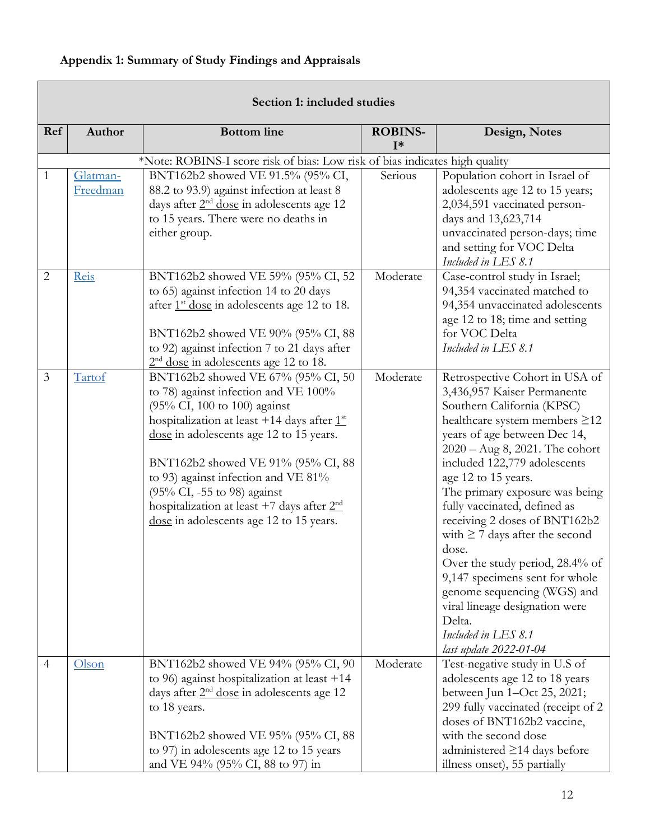# <span id="page-11-0"></span>**Appendix 1: Summary of Study Findings and Appraisals**

|                | Section 1: included studies |                                                                                                                                                                                                                                                                                                                                                                                                               |                         |                                                                                                                                                                                                                                                                                                                                                                                                                                                                                                                                                                                                             |  |  |
|----------------|-----------------------------|---------------------------------------------------------------------------------------------------------------------------------------------------------------------------------------------------------------------------------------------------------------------------------------------------------------------------------------------------------------------------------------------------------------|-------------------------|-------------------------------------------------------------------------------------------------------------------------------------------------------------------------------------------------------------------------------------------------------------------------------------------------------------------------------------------------------------------------------------------------------------------------------------------------------------------------------------------------------------------------------------------------------------------------------------------------------------|--|--|
| Ref            | Author                      | <b>Bottom</b> line                                                                                                                                                                                                                                                                                                                                                                                            | <b>ROBINS-</b><br>$I^*$ | Design, Notes                                                                                                                                                                                                                                                                                                                                                                                                                                                                                                                                                                                               |  |  |
|                |                             | *Note: ROBINS-I score risk of bias: Low risk of bias indicates high quality                                                                                                                                                                                                                                                                                                                                   |                         |                                                                                                                                                                                                                                                                                                                                                                                                                                                                                                                                                                                                             |  |  |
| 1              | Glatman-<br>Freedman        | BNT162b2 showed VE 91.5% (95% CI,<br>88.2 to 93.9) against infection at least 8<br>days after 2 <sup>nd</sup> dose in adolescents age 12<br>to 15 years. There were no deaths in<br>either group.                                                                                                                                                                                                             | Serious                 | Population cohort in Israel of<br>adolescents age 12 to 15 years;<br>2,034,591 vaccinated person-<br>days and 13,623,714<br>unvaccinated person-days; time<br>and setting for VOC Delta<br>Included in LES 8.1                                                                                                                                                                                                                                                                                                                                                                                              |  |  |
| $\overline{2}$ | Reis                        | BNT162b2 showed VE 59% (95% CI, 52<br>to 65) against infection 14 to 20 days<br>after 1 <sup>st</sup> dose in adolescents age 12 to 18.<br>BNT162b2 showed VE 90% (95% CI, 88<br>to 92) against infection 7 to 21 days after<br>$2nd$ dose in adolescents age 12 to 18.                                                                                                                                       | Moderate                | Case-control study in Israel;<br>94,354 vaccinated matched to<br>94,354 unvaccinated adolescents<br>age 12 to 18; time and setting<br>for VOC Delta<br>Included in LES 8.1                                                                                                                                                                                                                                                                                                                                                                                                                                  |  |  |
| 3              | Tartof                      | BNT162b2 showed VE 67% (95% CI, 50<br>to 78) against infection and VE 100%<br>(95% CI, 100 to 100) against<br>hospitalization at least +14 days after $1st$<br>dose in adolescents age 12 to 15 years.<br>BNT162b2 showed VE 91% (95% CI, 88<br>to 93) against infection and VE 81%<br>(95% CI, -55 to 98) against<br>hospitalization at least +7 days after $2nd$<br>dose in adolescents age 12 to 15 years. | Moderate                | Retrospective Cohort in USA of<br>3,436,957 Kaiser Permanente<br>Southern California (KPSC)<br>healthcare system members ≥12<br>years of age between Dec 14,<br>$2020 - Aug 8, 2021.$ The cohort<br>included 122,779 adolescents<br>age 12 to 15 years.<br>The primary exposure was being<br>fully vaccinated, defined as<br>receiving 2 doses of BNT162b2<br>with $\geq$ 7 days after the second<br>dose.<br>Over the study period, 28.4% of<br>9,147 specimens sent for whole<br>genome sequencing (WGS) and<br>viral lineage designation were<br>Delta.<br>Included in LES 8.1<br>last update 2022-01-04 |  |  |
| $\overline{4}$ | Olson                       | BNT162b2 showed VE 94% (95% CI, 90<br>to 96) against hospitalization at least $+14$<br>days after $2nd$ dose in adolescents age 12<br>to 18 years.<br>BNT162b2 showed VE 95% (95% CI, 88<br>to 97) in adolescents age 12 to 15 years<br>and VE 94% (95% CI, 88 to 97) in                                                                                                                                      | Moderate                | Test-negative study in U.S of<br>adolescents age 12 to 18 years<br>between Jun 1-Oct 25, 2021;<br>299 fully vaccinated (receipt of 2<br>doses of BNT162b2 vaccine,<br>with the second dose<br>administered $\geq$ 14 days before<br>illness onset), 55 partially                                                                                                                                                                                                                                                                                                                                            |  |  |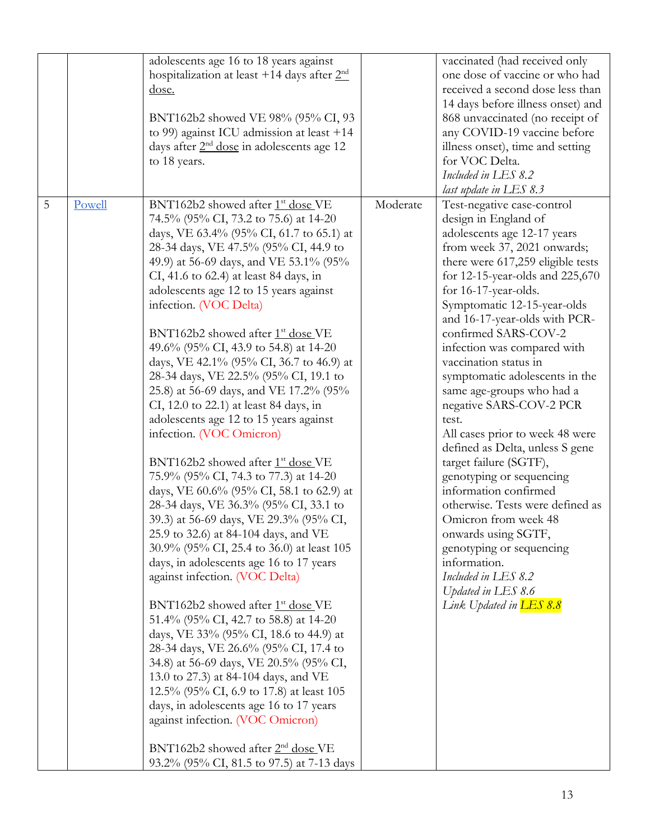|             |        | adolescents age 16 to 18 years against<br>hospitalization at least +14 days after $2nd$<br><u>dose.</u><br>BNT162b2 showed VE 98% (95% CI, 93<br>to 99) against ICU admission at least $+14$<br>days after $2nd$ dose in adolescents age 12<br>to 18 years.                                                                                                                                                                                                                                                                                                                                                                                                                                                                                                                                                                                                                                                                                                                                                                                                                                                                                                                                                                                                                                                                                                                                                                                                                                                                                             |          | vaccinated (had received only<br>one dose of vaccine or who had<br>received a second dose less than<br>14 days before illness onset) and<br>868 unvaccinated (no receipt of<br>any COVID-19 vaccine before<br>illness onset), time and setting<br>for VOC Delta.<br>Included in LES 8.2<br>last update in LES 8.3                                                                                                                                                                                                                                                                                                                                                                                                                                                                                                                      |
|-------------|--------|---------------------------------------------------------------------------------------------------------------------------------------------------------------------------------------------------------------------------------------------------------------------------------------------------------------------------------------------------------------------------------------------------------------------------------------------------------------------------------------------------------------------------------------------------------------------------------------------------------------------------------------------------------------------------------------------------------------------------------------------------------------------------------------------------------------------------------------------------------------------------------------------------------------------------------------------------------------------------------------------------------------------------------------------------------------------------------------------------------------------------------------------------------------------------------------------------------------------------------------------------------------------------------------------------------------------------------------------------------------------------------------------------------------------------------------------------------------------------------------------------------------------------------------------------------|----------|----------------------------------------------------------------------------------------------------------------------------------------------------------------------------------------------------------------------------------------------------------------------------------------------------------------------------------------------------------------------------------------------------------------------------------------------------------------------------------------------------------------------------------------------------------------------------------------------------------------------------------------------------------------------------------------------------------------------------------------------------------------------------------------------------------------------------------------|
| $\mathsf S$ | Powell | BNT162b2 showed after 1 <sup>st</sup> dose VE<br>74.5% (95% CI, 73.2 to 75.6) at 14-20<br>days, VE 63.4% (95% CI, 61.7 to 65.1) at<br>28-34 days, VE 47.5% (95% CI, 44.9 to<br>49.9) at 56-69 days, and VE 53.1% (95%<br>CI, 41.6 to 62.4) at least 84 days, in<br>adolescents age 12 to 15 years against<br>infection. (VOC Delta)<br>BNT162b2 showed after 1 <sup>st</sup> dose VE<br>49.6% (95% CI, 43.9 to 54.8) at 14-20<br>days, VE 42.1% (95% CI, 36.7 to 46.9) at<br>28-34 days, VE 22.5% (95% CI, 19.1 to<br>25.8) at 56-69 days, and VE 17.2% (95%<br>CI, 12.0 to 22.1) at least 84 days, in<br>adolescents age 12 to 15 years against<br>infection. (VOC Omicron)<br>BNT162b2 showed after 1 <sup>st</sup> dose VE<br>75.9% (95% CI, 74.3 to 77.3) at 14-20<br>days, VE 60.6% (95% CI, 58.1 to 62.9) at<br>28-34 days, VE 36.3% (95% CI, 33.1 to<br>39.3) at 56-69 days, VE 29.3% (95% CI,<br>25.9 to 32.6) at 84-104 days, and VE<br>30.9% (95% CI, 25.4 to 36.0) at least 105<br>days, in adolescents age 16 to 17 years<br>against infection. (VOC Delta)<br>$BNT162b2$ showed after $1st$ dose VE<br>51.4% (95% CI, 42.7 to 58.8) at 14-20<br>days, VE 33% (95% CI, 18.6 to 44.9) at<br>28-34 days, VE 26.6% (95% CI, 17.4 to<br>34.8) at 56-69 days, VE 20.5% (95% CI,<br>13.0 to 27.3) at 84-104 days, and VE<br>12.5% (95% CI, 6.9 to 17.8) at least 105<br>days, in adolescents age 16 to 17 years<br>against infection. (VOC Omicron)<br>BNT162b2 showed after 2 <sup>nd</sup> dose VE<br>93.2% (95% CI, 81.5 to 97.5) at 7-13 days | Moderate | Test-negative case-control<br>design in England of<br>adolescents age 12-17 years<br>from week 37, 2021 onwards;<br>there were 617,259 eligible tests<br>for 12-15-year-olds and 225,670<br>for 16-17-year-olds.<br>Symptomatic 12-15-year-olds<br>and 16-17-year-olds with PCR-<br>confirmed SARS-COV-2<br>infection was compared with<br>vaccination status in<br>symptomatic adolescents in the<br>same age-groups who had a<br>negative SARS-COV-2 PCR<br>test.<br>All cases prior to week 48 were<br>defined as Delta, unless S gene<br>target failure (SGTF),<br>genotyping or sequencing<br>information confirmed<br>otherwise. Tests were defined as<br>Omicron from week 48<br>onwards using SGTF,<br>genotyping or sequencing<br>information.<br>Included in LES 8.2<br>Updated in LES 8.6<br>Link Updated in <b>LES 8.8</b> |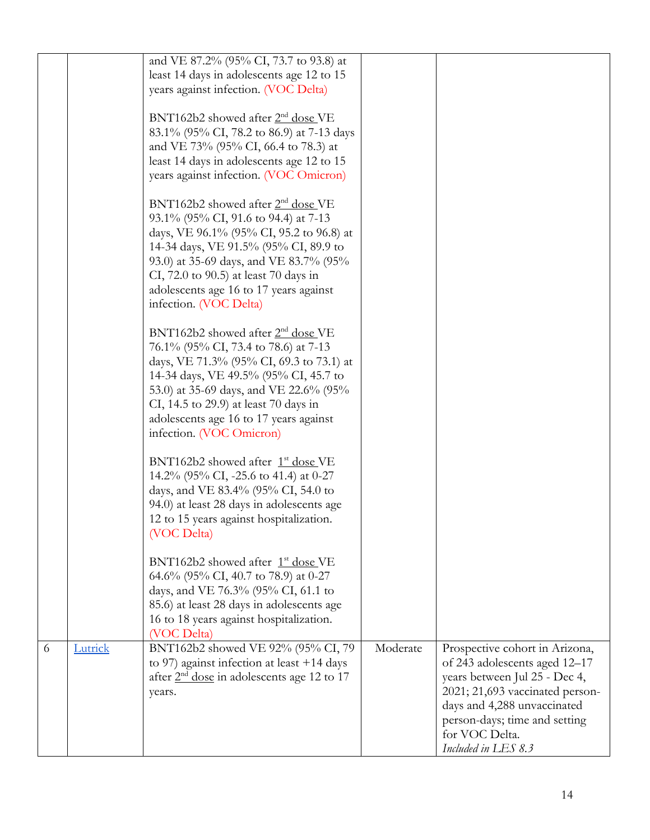|   |         | and VE 87.2% (95% CI, 73.7 to 93.8) at                                               |          |                                 |
|---|---------|--------------------------------------------------------------------------------------|----------|---------------------------------|
|   |         | least 14 days in adolescents age 12 to 15                                            |          |                                 |
|   |         | years against infection. (VOC Delta)                                                 |          |                                 |
|   |         | BNT162b2 showed after $2nd$ dose VE                                                  |          |                                 |
|   |         | 83.1% (95% CI, 78.2 to 86.9) at 7-13 days                                            |          |                                 |
|   |         | and VE 73% (95% CI, 66.4 to 78.3) at                                                 |          |                                 |
|   |         | least 14 days in adolescents age 12 to 15                                            |          |                                 |
|   |         | years against infection. (VOC Omicron)                                               |          |                                 |
|   |         |                                                                                      |          |                                 |
|   |         | BNT162b2 showed after 2 <sup>nd</sup> dose VE                                        |          |                                 |
|   |         | 93.1% (95% CI, 91.6 to 94.4) at 7-13                                                 |          |                                 |
|   |         | days, VE 96.1% (95% CI, 95.2 to 96.8) at                                             |          |                                 |
|   |         | 14-34 days, VE 91.5% (95% CI, 89.9 to                                                |          |                                 |
|   |         | 93.0) at 35-69 days, and VE 83.7% (95%                                               |          |                                 |
|   |         | CI, 72.0 to 90.5) at least 70 days in                                                |          |                                 |
|   |         | adolescents age 16 to 17 years against<br>infection. (VOC Delta)                     |          |                                 |
|   |         |                                                                                      |          |                                 |
|   |         | BNT162b2 showed after 2 <sup>nd</sup> dose VE                                        |          |                                 |
|   |         | 76.1% (95% CI, 73.4 to 78.6) at 7-13                                                 |          |                                 |
|   |         | days, VE 71.3% (95% CI, 69.3 to 73.1) at                                             |          |                                 |
|   |         | 14-34 days, VE 49.5% (95% CI, 45.7 to                                                |          |                                 |
|   |         | 53.0) at 35-69 days, and VE 22.6% (95%                                               |          |                                 |
|   |         | CI, 14.5 to 29.9) at least 70 days in                                                |          |                                 |
|   |         | adolescents age 16 to 17 years against                                               |          |                                 |
|   |         | infection. (VOC Omicron)                                                             |          |                                 |
|   |         | BNT162b2 showed after 1 <sup>st</sup> dose VE                                        |          |                                 |
|   |         | 14.2% (95% CI, -25.6 to 41.4) at 0-27                                                |          |                                 |
|   |         | days, and VE 83.4% (95% CI, 54.0 to                                                  |          |                                 |
|   |         | 94.0) at least 28 days in adolescents age                                            |          |                                 |
|   |         | 12 to 15 years against hospitalization.                                              |          |                                 |
|   |         | (VOC Delta)                                                                          |          |                                 |
|   |         |                                                                                      |          |                                 |
|   |         | BNT162b2 showed after 1 <sup>st</sup> dose VE                                        |          |                                 |
|   |         | 64.6% (95% CI, 40.7 to 78.9) at 0-27                                                 |          |                                 |
|   |         | days, and VE 76.3% (95% CI, 61.1 to                                                  |          |                                 |
|   |         | 85.6) at least 28 days in adolescents age<br>16 to 18 years against hospitalization. |          |                                 |
|   |         | (VOC Delta)                                                                          |          |                                 |
| 6 | Lutrick | BNT162b2 showed VE 92% (95% CI, 79)                                                  | Moderate | Prospective cohort in Arizona,  |
|   |         | to 97) against infection at least $+14$ days                                         |          | of 243 adolescents aged 12-17   |
|   |         | after $2nd$ dose in adolescents age 12 to 17                                         |          | years between Jul 25 - Dec 4,   |
|   |         | years.                                                                               |          | 2021; 21,693 vaccinated person- |
|   |         |                                                                                      |          | days and 4,288 unvaccinated     |
|   |         |                                                                                      |          | person-days; time and setting   |
|   |         |                                                                                      |          | for VOC Delta.                  |
|   |         |                                                                                      |          | Included in LES 8.3             |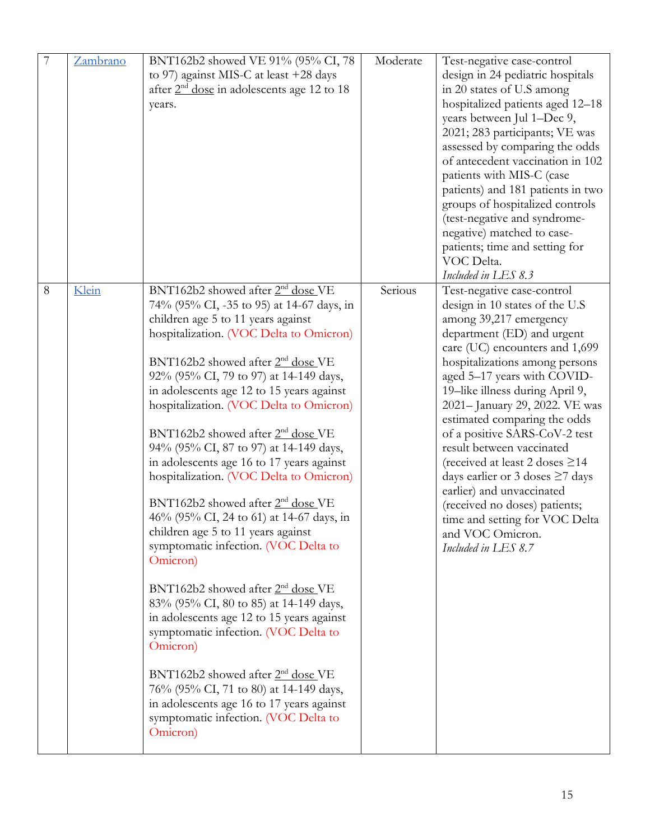| 7 | Zambrano | BNT162b2 showed VE 91% (95% CI, 78<br>to 97) against MIS-C at least +28 days<br>after $2nd$ dose in adolescents age 12 to 18<br>years.                                                                                                                                                                                                                                                                                                                                                                                                                                                                                                                                                                                                                                                                                                                                                                                                                                                                                                                                                                                 | Moderate | Test-negative case-control<br>design in 24 pediatric hospitals<br>in 20 states of U.S among<br>hospitalized patients aged 12-18<br>years between Jul 1-Dec 9,<br>2021; 283 participants; VE was<br>assessed by comparing the odds<br>of antecedent vaccination in 102<br>patients with MIS-C (case<br>patients) and 181 patients in two<br>groups of hospitalized controls<br>(test-negative and syndrome-<br>negative) matched to case-<br>patients; time and setting for                                                                                                                                            |
|---|----------|------------------------------------------------------------------------------------------------------------------------------------------------------------------------------------------------------------------------------------------------------------------------------------------------------------------------------------------------------------------------------------------------------------------------------------------------------------------------------------------------------------------------------------------------------------------------------------------------------------------------------------------------------------------------------------------------------------------------------------------------------------------------------------------------------------------------------------------------------------------------------------------------------------------------------------------------------------------------------------------------------------------------------------------------------------------------------------------------------------------------|----------|-----------------------------------------------------------------------------------------------------------------------------------------------------------------------------------------------------------------------------------------------------------------------------------------------------------------------------------------------------------------------------------------------------------------------------------------------------------------------------------------------------------------------------------------------------------------------------------------------------------------------|
|   |          |                                                                                                                                                                                                                                                                                                                                                                                                                                                                                                                                                                                                                                                                                                                                                                                                                                                                                                                                                                                                                                                                                                                        |          | VOC Delta.<br>Included in LES 8.3                                                                                                                                                                                                                                                                                                                                                                                                                                                                                                                                                                                     |
| 8 | Klein    | BNT162b2 showed after 2 <sup>nd</sup> dose VE<br>74% (95% CI, -35 to 95) at 14-67 days, in<br>children age 5 to 11 years against<br>hospitalization. (VOC Delta to Omicron)<br>BNT162b2 showed after 2 <sup>nd</sup> dose VE<br>92% (95% CI, 79 to 97) at 14-149 days,<br>in adolescents age 12 to 15 years against<br>hospitalization. (VOC Delta to Omicron)<br>BNT162b2 showed after 2 <sup>nd</sup> dose VE<br>94% (95% CI, 87 to 97) at 14-149 days,<br>in adolescents age 16 to 17 years against<br>hospitalization. (VOC Delta to Omicron)<br>BNT162b2 showed after $2nd$ dose VE<br>46% (95% CI, 24 to 61) at 14-67 days, in<br>children age 5 to 11 years against<br>symptomatic infection. (VOC Delta to<br>Omicron)<br>BNT162b2 showed after 2 <sup>nd</sup> dose VE<br>83% (95% CI, 80 to 85) at 14-149 days,<br>in adolescents age 12 to 15 years against<br>symptomatic infection. (VOC Delta to<br>Omicron)<br>BNT162b2 showed after 2 <sup>nd</sup> dose VE<br>76% (95% CI, 71 to 80) at 14-149 days,<br>in adolescents age 16 to 17 years against<br>symptomatic infection. (VOC Delta to<br>Omicron) | Serious  | Test-negative case-control<br>design in 10 states of the U.S<br>among 39,217 emergency<br>department (ED) and urgent<br>care (UC) encounters and 1,699<br>hospitalizations among persons<br>aged 5-17 years with COVID-<br>19-like illness during April 9,<br>2021-January 29, 2022. VE was<br>estimated comparing the odds<br>of a positive SARS-CoV-2 test<br>result between vaccinated<br>(received at least 2 doses $\geq$ 14<br>days earlier or 3 doses $\geq$ 7 days<br>earlier) and unvaccinated<br>(received no doses) patients;<br>time and setting for VOC Delta<br>and VOC Omicron.<br>Included in LES 8.7 |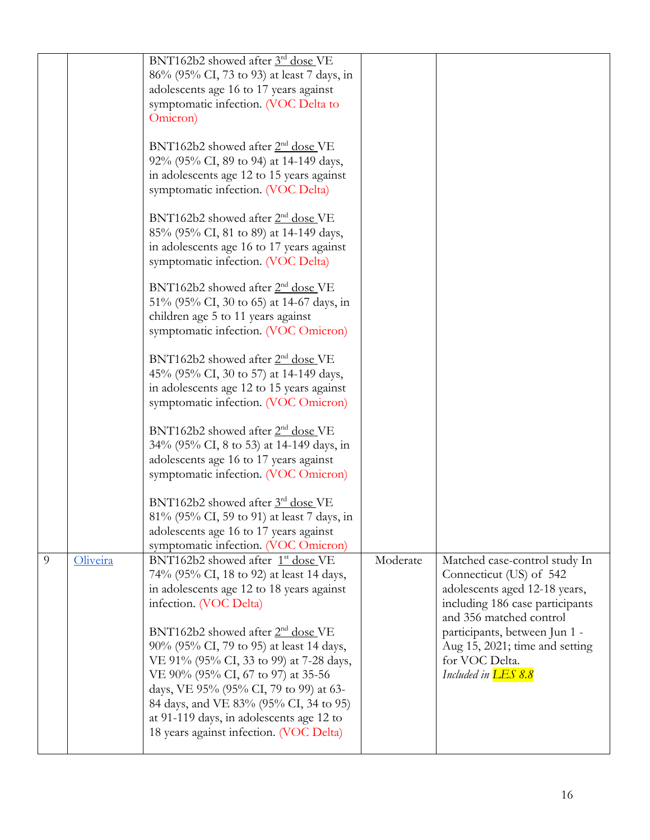|   |          | BNT162b2 showed after 3rd dose VE                                                         |          |                                                          |
|---|----------|-------------------------------------------------------------------------------------------|----------|----------------------------------------------------------|
|   |          | 86% (95% CI, 73 to 93) at least 7 days, in                                                |          |                                                          |
|   |          | adolescents age 16 to 17 years against<br>symptomatic infection. (VOC Delta to            |          |                                                          |
|   |          | Omicron)                                                                                  |          |                                                          |
|   |          |                                                                                           |          |                                                          |
|   |          | BNT162b2 showed after 2 <sup>nd</sup> dose VE                                             |          |                                                          |
|   |          | 92% (95% CI, 89 to 94) at 14-149 days,                                                    |          |                                                          |
|   |          | in adolescents age 12 to 15 years against                                                 |          |                                                          |
|   |          | symptomatic infection. (VOC Delta)                                                        |          |                                                          |
|   |          | BNT162b2 showed after 2 <sup>nd</sup> dose VE                                             |          |                                                          |
|   |          | 85% (95% CI, 81 to 89) at 14-149 days,                                                    |          |                                                          |
|   |          | in adolescents age 16 to 17 years against                                                 |          |                                                          |
|   |          | symptomatic infection. (VOC Delta)                                                        |          |                                                          |
|   |          | BNT162b2 showed after 2 <sup>nd</sup> dose VE                                             |          |                                                          |
|   |          | 51% (95% CI, 30 to 65) at 14-67 days, in                                                  |          |                                                          |
|   |          | children age 5 to 11 years against                                                        |          |                                                          |
|   |          | symptomatic infection. (VOC Omicron)                                                      |          |                                                          |
|   |          | BNT162b2 showed after 2 <sup>nd</sup> dose VE                                             |          |                                                          |
|   |          | 45% (95% CI, 30 to 57) at 14-149 days,                                                    |          |                                                          |
|   |          | in adolescents age 12 to 15 years against                                                 |          |                                                          |
|   |          | symptomatic infection. (VOC Omicron)                                                      |          |                                                          |
|   |          | BNT162b2 showed after 2 <sup>nd</sup> dose VE                                             |          |                                                          |
|   |          | 34% (95% CI, 8 to 53) at 14-149 days, in                                                  |          |                                                          |
|   |          | adolescents age 16 to 17 years against                                                    |          |                                                          |
|   |          | symptomatic infection. (VOC Omicron)                                                      |          |                                                          |
|   |          | BNT162b2 showed after 3rd dose VE                                                         |          |                                                          |
|   |          | 81% (95% CI, 59 to 91) at least 7 days, in                                                |          |                                                          |
|   |          | adolescents age 16 to 17 years against                                                    |          |                                                          |
|   |          | symptomatic infection. (VOC Omicron)                                                      |          |                                                          |
| 9 | Oliveira | BNT162b2 showed after 1 <sup>st</sup> dose VE<br>74% (95% CI, 18 to 92) at least 14 days, | Moderate | Matched case-control study In<br>Connecticut (US) of 542 |
|   |          | in adolescents age 12 to 18 years against                                                 |          | adolescents aged 12-18 years,                            |
|   |          | infection. (VOC Delta)                                                                    |          | including 186 case participants                          |
|   |          |                                                                                           |          | and 356 matched control                                  |
|   |          | BNT162b2 showed after 2 <sup>nd</sup> dose VE                                             |          | participants, between Jun 1 -                            |
|   |          | 90% (95% CI, 79 to 95) at least 14 days,                                                  |          | Aug 15, 2021; time and setting                           |
|   |          | VE 91% (95% CI, 33 to 99) at 7-28 days,                                                   |          | for VOC Delta.                                           |
|   |          | VE 90% (95% CI, 67 to 97) at 35-56                                                        |          | Included in <b>LES 8.8</b>                               |
|   |          | days, VE 95% (95% CI, 79 to 99) at 63-<br>84 days, and VE 83% (95% CI, 34 to 95)          |          |                                                          |
|   |          | at 91-119 days, in adolescents age 12 to                                                  |          |                                                          |
|   |          | 18 years against infection. (VOC Delta)                                                   |          |                                                          |
|   |          |                                                                                           |          |                                                          |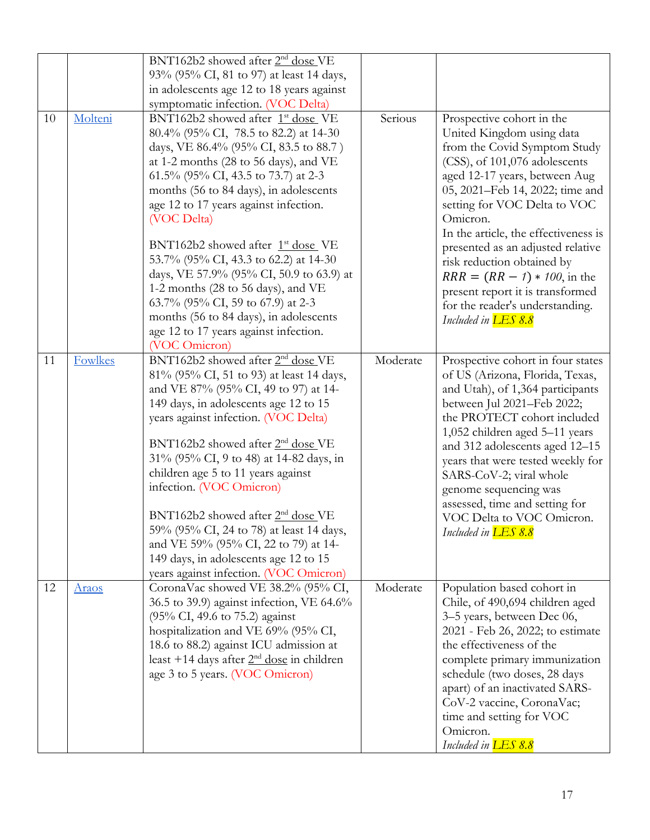| 93% (95% CI, 81 to 97) at least 14 days,<br>in adolescents age 12 to 18 years against<br>symptomatic infection. (VOC Delta)<br>Serious<br>BNT162b2 showed after 1 <sup>st</sup> dose VE<br>Prospective cohort in the<br>Molteni<br>10<br>80.4% (95% CI, 78.5 to 82.2) at 14-30<br>United Kingdom using data<br>from the Covid Symptom Study<br>days, VE 86.4% (95% CI, 83.5 to 88.7)<br>(CSS), of 101,076 adolescents<br>at 1-2 months (28 to 56 days), and VE<br>61.5% (95% CI, 43.5 to 73.7) at 2-3<br>aged 12-17 years, between Aug<br>05, 2021–Feb 14, 2022; time and<br>months (56 to 84 days), in adolescents<br>age 12 to 17 years against infection.<br>setting for VOC Delta to VOC<br>Omicron.<br>(VOC Delta)<br>In the article, the effectiveness is<br>BNT162b2 showed after 1 <sup>st</sup> dose VE<br>presented as an adjusted relative<br>53.7% (95% CI, 43.3 to 62.2) at 14-30<br>risk reduction obtained by<br>days, VE 57.9% (95% CI, 50.9 to 63.9) at<br>$RRR = (RR - 1) * 100$ , in the<br>1-2 months (28 to 56 days), and VE<br>present report it is transformed<br>63.7% (95% CI, 59 to 67.9) at 2-3<br>for the reader's understanding.<br>months (56 to 84 days), in adolescents<br>Included in <b>LES 8.8</b><br>age 12 to 17 years against infection.<br>(VOC Omicron)<br>BNT162b2 showed after 2 <sup>nd</sup> dose VE<br>Moderate<br>Prospective cohort in four states<br><b>Fowlkes</b><br>11<br>81% (95% CI, 51 to 93) at least 14 days,<br>of US (Arizona, Florida, Texas,<br>and VE 87% (95% CI, 49 to 97) at 14-<br>and Utah), of 1,364 participants<br>149 days, in adolescents age 12 to 15<br>between Jul 2021-Feb 2022;<br>years against infection. (VOC Delta)<br>the PROTECT cohort included<br>1,052 children aged 5-11 years<br>BNT162b2 showed after 2 <sup>nd</sup> dose VE<br>and 312 adolescents aged 12-15<br>31% (95% CI, 9 to 48) at 14-82 days, in<br>years that were tested weekly for<br>children age 5 to 11 years against<br>SARS-CoV-2; viral whole<br>infection. (VOC Omicron)<br>genome sequencing was<br>assessed, time and setting for<br>BNT162b2 showed after 2 <sup>nd</sup> dose VE<br>VOC Delta to VOC Omicron.<br>59% (95% CI, 24 to 78) at least 14 days,<br>Included in <b>LES 8.8</b><br>and VE 59% (95% CI, 22 to 79) at 14-<br>149 days, in adolescents age 12 to 15<br>years against infection. (VOC Omicron)<br>Moderate<br>Population based cohort in<br>CoronaVac showed VE 38.2% (95% CI,<br>12<br><u>Araos</u><br>36.5 to 39.9) against infection, VE 64.6%<br>Chile, of 490,694 children aged<br>(95% CI, 49.6 to 75.2) against<br>3-5 years, between Dec 06,<br>hospitalization and VE 69% (95% CI,<br>2021 - Feb 26, 2022; to estimate<br>the effectiveness of the<br>18.6 to 88.2) against ICU admission at<br>least +14 days after $2nd$ dose in children<br>complete primary immunization<br>age 3 to 5 years. (VOC Omicron)<br>schedule (two doses, 28 days<br>apart) of an inactivated SARS-<br>CoV-2 vaccine, CoronaVac;<br>time and setting for VOC<br>Omicron. |  | BNT162b2 showed after 2 <sup>nd</sup> dose VE |                            |
|-----------------------------------------------------------------------------------------------------------------------------------------------------------------------------------------------------------------------------------------------------------------------------------------------------------------------------------------------------------------------------------------------------------------------------------------------------------------------------------------------------------------------------------------------------------------------------------------------------------------------------------------------------------------------------------------------------------------------------------------------------------------------------------------------------------------------------------------------------------------------------------------------------------------------------------------------------------------------------------------------------------------------------------------------------------------------------------------------------------------------------------------------------------------------------------------------------------------------------------------------------------------------------------------------------------------------------------------------------------------------------------------------------------------------------------------------------------------------------------------------------------------------------------------------------------------------------------------------------------------------------------------------------------------------------------------------------------------------------------------------------------------------------------------------------------------------------------------------------------------------------------------------------------------------------------------------------------------------------------------------------------------------------------------------------------------------------------------------------------------------------------------------------------------------------------------------------------------------------------------------------------------------------------------------------------------------------------------------------------------------------------------------------------------------------------------------------------------------------------------------------------------------------------------------------------------------------------------------------------------------------------------------------------------------------------------------------------------------------------------------------------------------------------------------------------------------------------------------------------------------------------------------------------------------------------------------------------------------------------------------------------------------------------------------------|--|-----------------------------------------------|----------------------------|
|                                                                                                                                                                                                                                                                                                                                                                                                                                                                                                                                                                                                                                                                                                                                                                                                                                                                                                                                                                                                                                                                                                                                                                                                                                                                                                                                                                                                                                                                                                                                                                                                                                                                                                                                                                                                                                                                                                                                                                                                                                                                                                                                                                                                                                                                                                                                                                                                                                                                                                                                                                                                                                                                                                                                                                                                                                                                                                                                                                                                                                                     |  |                                               |                            |
|                                                                                                                                                                                                                                                                                                                                                                                                                                                                                                                                                                                                                                                                                                                                                                                                                                                                                                                                                                                                                                                                                                                                                                                                                                                                                                                                                                                                                                                                                                                                                                                                                                                                                                                                                                                                                                                                                                                                                                                                                                                                                                                                                                                                                                                                                                                                                                                                                                                                                                                                                                                                                                                                                                                                                                                                                                                                                                                                                                                                                                                     |  |                                               |                            |
|                                                                                                                                                                                                                                                                                                                                                                                                                                                                                                                                                                                                                                                                                                                                                                                                                                                                                                                                                                                                                                                                                                                                                                                                                                                                                                                                                                                                                                                                                                                                                                                                                                                                                                                                                                                                                                                                                                                                                                                                                                                                                                                                                                                                                                                                                                                                                                                                                                                                                                                                                                                                                                                                                                                                                                                                                                                                                                                                                                                                                                                     |  |                                               |                            |
|                                                                                                                                                                                                                                                                                                                                                                                                                                                                                                                                                                                                                                                                                                                                                                                                                                                                                                                                                                                                                                                                                                                                                                                                                                                                                                                                                                                                                                                                                                                                                                                                                                                                                                                                                                                                                                                                                                                                                                                                                                                                                                                                                                                                                                                                                                                                                                                                                                                                                                                                                                                                                                                                                                                                                                                                                                                                                                                                                                                                                                                     |  |                                               |                            |
|                                                                                                                                                                                                                                                                                                                                                                                                                                                                                                                                                                                                                                                                                                                                                                                                                                                                                                                                                                                                                                                                                                                                                                                                                                                                                                                                                                                                                                                                                                                                                                                                                                                                                                                                                                                                                                                                                                                                                                                                                                                                                                                                                                                                                                                                                                                                                                                                                                                                                                                                                                                                                                                                                                                                                                                                                                                                                                                                                                                                                                                     |  |                                               |                            |
|                                                                                                                                                                                                                                                                                                                                                                                                                                                                                                                                                                                                                                                                                                                                                                                                                                                                                                                                                                                                                                                                                                                                                                                                                                                                                                                                                                                                                                                                                                                                                                                                                                                                                                                                                                                                                                                                                                                                                                                                                                                                                                                                                                                                                                                                                                                                                                                                                                                                                                                                                                                                                                                                                                                                                                                                                                                                                                                                                                                                                                                     |  |                                               |                            |
|                                                                                                                                                                                                                                                                                                                                                                                                                                                                                                                                                                                                                                                                                                                                                                                                                                                                                                                                                                                                                                                                                                                                                                                                                                                                                                                                                                                                                                                                                                                                                                                                                                                                                                                                                                                                                                                                                                                                                                                                                                                                                                                                                                                                                                                                                                                                                                                                                                                                                                                                                                                                                                                                                                                                                                                                                                                                                                                                                                                                                                                     |  |                                               |                            |
|                                                                                                                                                                                                                                                                                                                                                                                                                                                                                                                                                                                                                                                                                                                                                                                                                                                                                                                                                                                                                                                                                                                                                                                                                                                                                                                                                                                                                                                                                                                                                                                                                                                                                                                                                                                                                                                                                                                                                                                                                                                                                                                                                                                                                                                                                                                                                                                                                                                                                                                                                                                                                                                                                                                                                                                                                                                                                                                                                                                                                                                     |  |                                               |                            |
|                                                                                                                                                                                                                                                                                                                                                                                                                                                                                                                                                                                                                                                                                                                                                                                                                                                                                                                                                                                                                                                                                                                                                                                                                                                                                                                                                                                                                                                                                                                                                                                                                                                                                                                                                                                                                                                                                                                                                                                                                                                                                                                                                                                                                                                                                                                                                                                                                                                                                                                                                                                                                                                                                                                                                                                                                                                                                                                                                                                                                                                     |  |                                               |                            |
|                                                                                                                                                                                                                                                                                                                                                                                                                                                                                                                                                                                                                                                                                                                                                                                                                                                                                                                                                                                                                                                                                                                                                                                                                                                                                                                                                                                                                                                                                                                                                                                                                                                                                                                                                                                                                                                                                                                                                                                                                                                                                                                                                                                                                                                                                                                                                                                                                                                                                                                                                                                                                                                                                                                                                                                                                                                                                                                                                                                                                                                     |  |                                               |                            |
|                                                                                                                                                                                                                                                                                                                                                                                                                                                                                                                                                                                                                                                                                                                                                                                                                                                                                                                                                                                                                                                                                                                                                                                                                                                                                                                                                                                                                                                                                                                                                                                                                                                                                                                                                                                                                                                                                                                                                                                                                                                                                                                                                                                                                                                                                                                                                                                                                                                                                                                                                                                                                                                                                                                                                                                                                                                                                                                                                                                                                                                     |  |                                               |                            |
|                                                                                                                                                                                                                                                                                                                                                                                                                                                                                                                                                                                                                                                                                                                                                                                                                                                                                                                                                                                                                                                                                                                                                                                                                                                                                                                                                                                                                                                                                                                                                                                                                                                                                                                                                                                                                                                                                                                                                                                                                                                                                                                                                                                                                                                                                                                                                                                                                                                                                                                                                                                                                                                                                                                                                                                                                                                                                                                                                                                                                                                     |  |                                               |                            |
|                                                                                                                                                                                                                                                                                                                                                                                                                                                                                                                                                                                                                                                                                                                                                                                                                                                                                                                                                                                                                                                                                                                                                                                                                                                                                                                                                                                                                                                                                                                                                                                                                                                                                                                                                                                                                                                                                                                                                                                                                                                                                                                                                                                                                                                                                                                                                                                                                                                                                                                                                                                                                                                                                                                                                                                                                                                                                                                                                                                                                                                     |  |                                               |                            |
|                                                                                                                                                                                                                                                                                                                                                                                                                                                                                                                                                                                                                                                                                                                                                                                                                                                                                                                                                                                                                                                                                                                                                                                                                                                                                                                                                                                                                                                                                                                                                                                                                                                                                                                                                                                                                                                                                                                                                                                                                                                                                                                                                                                                                                                                                                                                                                                                                                                                                                                                                                                                                                                                                                                                                                                                                                                                                                                                                                                                                                                     |  |                                               |                            |
|                                                                                                                                                                                                                                                                                                                                                                                                                                                                                                                                                                                                                                                                                                                                                                                                                                                                                                                                                                                                                                                                                                                                                                                                                                                                                                                                                                                                                                                                                                                                                                                                                                                                                                                                                                                                                                                                                                                                                                                                                                                                                                                                                                                                                                                                                                                                                                                                                                                                                                                                                                                                                                                                                                                                                                                                                                                                                                                                                                                                                                                     |  |                                               |                            |
|                                                                                                                                                                                                                                                                                                                                                                                                                                                                                                                                                                                                                                                                                                                                                                                                                                                                                                                                                                                                                                                                                                                                                                                                                                                                                                                                                                                                                                                                                                                                                                                                                                                                                                                                                                                                                                                                                                                                                                                                                                                                                                                                                                                                                                                                                                                                                                                                                                                                                                                                                                                                                                                                                                                                                                                                                                                                                                                                                                                                                                                     |  |                                               |                            |
|                                                                                                                                                                                                                                                                                                                                                                                                                                                                                                                                                                                                                                                                                                                                                                                                                                                                                                                                                                                                                                                                                                                                                                                                                                                                                                                                                                                                                                                                                                                                                                                                                                                                                                                                                                                                                                                                                                                                                                                                                                                                                                                                                                                                                                                                                                                                                                                                                                                                                                                                                                                                                                                                                                                                                                                                                                                                                                                                                                                                                                                     |  |                                               |                            |
|                                                                                                                                                                                                                                                                                                                                                                                                                                                                                                                                                                                                                                                                                                                                                                                                                                                                                                                                                                                                                                                                                                                                                                                                                                                                                                                                                                                                                                                                                                                                                                                                                                                                                                                                                                                                                                                                                                                                                                                                                                                                                                                                                                                                                                                                                                                                                                                                                                                                                                                                                                                                                                                                                                                                                                                                                                                                                                                                                                                                                                                     |  |                                               |                            |
|                                                                                                                                                                                                                                                                                                                                                                                                                                                                                                                                                                                                                                                                                                                                                                                                                                                                                                                                                                                                                                                                                                                                                                                                                                                                                                                                                                                                                                                                                                                                                                                                                                                                                                                                                                                                                                                                                                                                                                                                                                                                                                                                                                                                                                                                                                                                                                                                                                                                                                                                                                                                                                                                                                                                                                                                                                                                                                                                                                                                                                                     |  |                                               |                            |
|                                                                                                                                                                                                                                                                                                                                                                                                                                                                                                                                                                                                                                                                                                                                                                                                                                                                                                                                                                                                                                                                                                                                                                                                                                                                                                                                                                                                                                                                                                                                                                                                                                                                                                                                                                                                                                                                                                                                                                                                                                                                                                                                                                                                                                                                                                                                                                                                                                                                                                                                                                                                                                                                                                                                                                                                                                                                                                                                                                                                                                                     |  |                                               |                            |
|                                                                                                                                                                                                                                                                                                                                                                                                                                                                                                                                                                                                                                                                                                                                                                                                                                                                                                                                                                                                                                                                                                                                                                                                                                                                                                                                                                                                                                                                                                                                                                                                                                                                                                                                                                                                                                                                                                                                                                                                                                                                                                                                                                                                                                                                                                                                                                                                                                                                                                                                                                                                                                                                                                                                                                                                                                                                                                                                                                                                                                                     |  |                                               |                            |
|                                                                                                                                                                                                                                                                                                                                                                                                                                                                                                                                                                                                                                                                                                                                                                                                                                                                                                                                                                                                                                                                                                                                                                                                                                                                                                                                                                                                                                                                                                                                                                                                                                                                                                                                                                                                                                                                                                                                                                                                                                                                                                                                                                                                                                                                                                                                                                                                                                                                                                                                                                                                                                                                                                                                                                                                                                                                                                                                                                                                                                                     |  |                                               |                            |
|                                                                                                                                                                                                                                                                                                                                                                                                                                                                                                                                                                                                                                                                                                                                                                                                                                                                                                                                                                                                                                                                                                                                                                                                                                                                                                                                                                                                                                                                                                                                                                                                                                                                                                                                                                                                                                                                                                                                                                                                                                                                                                                                                                                                                                                                                                                                                                                                                                                                                                                                                                                                                                                                                                                                                                                                                                                                                                                                                                                                                                                     |  |                                               |                            |
|                                                                                                                                                                                                                                                                                                                                                                                                                                                                                                                                                                                                                                                                                                                                                                                                                                                                                                                                                                                                                                                                                                                                                                                                                                                                                                                                                                                                                                                                                                                                                                                                                                                                                                                                                                                                                                                                                                                                                                                                                                                                                                                                                                                                                                                                                                                                                                                                                                                                                                                                                                                                                                                                                                                                                                                                                                                                                                                                                                                                                                                     |  |                                               |                            |
|                                                                                                                                                                                                                                                                                                                                                                                                                                                                                                                                                                                                                                                                                                                                                                                                                                                                                                                                                                                                                                                                                                                                                                                                                                                                                                                                                                                                                                                                                                                                                                                                                                                                                                                                                                                                                                                                                                                                                                                                                                                                                                                                                                                                                                                                                                                                                                                                                                                                                                                                                                                                                                                                                                                                                                                                                                                                                                                                                                                                                                                     |  |                                               |                            |
|                                                                                                                                                                                                                                                                                                                                                                                                                                                                                                                                                                                                                                                                                                                                                                                                                                                                                                                                                                                                                                                                                                                                                                                                                                                                                                                                                                                                                                                                                                                                                                                                                                                                                                                                                                                                                                                                                                                                                                                                                                                                                                                                                                                                                                                                                                                                                                                                                                                                                                                                                                                                                                                                                                                                                                                                                                                                                                                                                                                                                                                     |  |                                               |                            |
|                                                                                                                                                                                                                                                                                                                                                                                                                                                                                                                                                                                                                                                                                                                                                                                                                                                                                                                                                                                                                                                                                                                                                                                                                                                                                                                                                                                                                                                                                                                                                                                                                                                                                                                                                                                                                                                                                                                                                                                                                                                                                                                                                                                                                                                                                                                                                                                                                                                                                                                                                                                                                                                                                                                                                                                                                                                                                                                                                                                                                                                     |  |                                               |                            |
|                                                                                                                                                                                                                                                                                                                                                                                                                                                                                                                                                                                                                                                                                                                                                                                                                                                                                                                                                                                                                                                                                                                                                                                                                                                                                                                                                                                                                                                                                                                                                                                                                                                                                                                                                                                                                                                                                                                                                                                                                                                                                                                                                                                                                                                                                                                                                                                                                                                                                                                                                                                                                                                                                                                                                                                                                                                                                                                                                                                                                                                     |  |                                               |                            |
|                                                                                                                                                                                                                                                                                                                                                                                                                                                                                                                                                                                                                                                                                                                                                                                                                                                                                                                                                                                                                                                                                                                                                                                                                                                                                                                                                                                                                                                                                                                                                                                                                                                                                                                                                                                                                                                                                                                                                                                                                                                                                                                                                                                                                                                                                                                                                                                                                                                                                                                                                                                                                                                                                                                                                                                                                                                                                                                                                                                                                                                     |  |                                               |                            |
|                                                                                                                                                                                                                                                                                                                                                                                                                                                                                                                                                                                                                                                                                                                                                                                                                                                                                                                                                                                                                                                                                                                                                                                                                                                                                                                                                                                                                                                                                                                                                                                                                                                                                                                                                                                                                                                                                                                                                                                                                                                                                                                                                                                                                                                                                                                                                                                                                                                                                                                                                                                                                                                                                                                                                                                                                                                                                                                                                                                                                                                     |  |                                               |                            |
|                                                                                                                                                                                                                                                                                                                                                                                                                                                                                                                                                                                                                                                                                                                                                                                                                                                                                                                                                                                                                                                                                                                                                                                                                                                                                                                                                                                                                                                                                                                                                                                                                                                                                                                                                                                                                                                                                                                                                                                                                                                                                                                                                                                                                                                                                                                                                                                                                                                                                                                                                                                                                                                                                                                                                                                                                                                                                                                                                                                                                                                     |  |                                               |                            |
|                                                                                                                                                                                                                                                                                                                                                                                                                                                                                                                                                                                                                                                                                                                                                                                                                                                                                                                                                                                                                                                                                                                                                                                                                                                                                                                                                                                                                                                                                                                                                                                                                                                                                                                                                                                                                                                                                                                                                                                                                                                                                                                                                                                                                                                                                                                                                                                                                                                                                                                                                                                                                                                                                                                                                                                                                                                                                                                                                                                                                                                     |  |                                               |                            |
|                                                                                                                                                                                                                                                                                                                                                                                                                                                                                                                                                                                                                                                                                                                                                                                                                                                                                                                                                                                                                                                                                                                                                                                                                                                                                                                                                                                                                                                                                                                                                                                                                                                                                                                                                                                                                                                                                                                                                                                                                                                                                                                                                                                                                                                                                                                                                                                                                                                                                                                                                                                                                                                                                                                                                                                                                                                                                                                                                                                                                                                     |  |                                               |                            |
|                                                                                                                                                                                                                                                                                                                                                                                                                                                                                                                                                                                                                                                                                                                                                                                                                                                                                                                                                                                                                                                                                                                                                                                                                                                                                                                                                                                                                                                                                                                                                                                                                                                                                                                                                                                                                                                                                                                                                                                                                                                                                                                                                                                                                                                                                                                                                                                                                                                                                                                                                                                                                                                                                                                                                                                                                                                                                                                                                                                                                                                     |  |                                               |                            |
|                                                                                                                                                                                                                                                                                                                                                                                                                                                                                                                                                                                                                                                                                                                                                                                                                                                                                                                                                                                                                                                                                                                                                                                                                                                                                                                                                                                                                                                                                                                                                                                                                                                                                                                                                                                                                                                                                                                                                                                                                                                                                                                                                                                                                                                                                                                                                                                                                                                                                                                                                                                                                                                                                                                                                                                                                                                                                                                                                                                                                                                     |  |                                               |                            |
|                                                                                                                                                                                                                                                                                                                                                                                                                                                                                                                                                                                                                                                                                                                                                                                                                                                                                                                                                                                                                                                                                                                                                                                                                                                                                                                                                                                                                                                                                                                                                                                                                                                                                                                                                                                                                                                                                                                                                                                                                                                                                                                                                                                                                                                                                                                                                                                                                                                                                                                                                                                                                                                                                                                                                                                                                                                                                                                                                                                                                                                     |  |                                               |                            |
|                                                                                                                                                                                                                                                                                                                                                                                                                                                                                                                                                                                                                                                                                                                                                                                                                                                                                                                                                                                                                                                                                                                                                                                                                                                                                                                                                                                                                                                                                                                                                                                                                                                                                                                                                                                                                                                                                                                                                                                                                                                                                                                                                                                                                                                                                                                                                                                                                                                                                                                                                                                                                                                                                                                                                                                                                                                                                                                                                                                                                                                     |  |                                               |                            |
|                                                                                                                                                                                                                                                                                                                                                                                                                                                                                                                                                                                                                                                                                                                                                                                                                                                                                                                                                                                                                                                                                                                                                                                                                                                                                                                                                                                                                                                                                                                                                                                                                                                                                                                                                                                                                                                                                                                                                                                                                                                                                                                                                                                                                                                                                                                                                                                                                                                                                                                                                                                                                                                                                                                                                                                                                                                                                                                                                                                                                                                     |  |                                               |                            |
|                                                                                                                                                                                                                                                                                                                                                                                                                                                                                                                                                                                                                                                                                                                                                                                                                                                                                                                                                                                                                                                                                                                                                                                                                                                                                                                                                                                                                                                                                                                                                                                                                                                                                                                                                                                                                                                                                                                                                                                                                                                                                                                                                                                                                                                                                                                                                                                                                                                                                                                                                                                                                                                                                                                                                                                                                                                                                                                                                                                                                                                     |  |                                               |                            |
|                                                                                                                                                                                                                                                                                                                                                                                                                                                                                                                                                                                                                                                                                                                                                                                                                                                                                                                                                                                                                                                                                                                                                                                                                                                                                                                                                                                                                                                                                                                                                                                                                                                                                                                                                                                                                                                                                                                                                                                                                                                                                                                                                                                                                                                                                                                                                                                                                                                                                                                                                                                                                                                                                                                                                                                                                                                                                                                                                                                                                                                     |  |                                               |                            |
|                                                                                                                                                                                                                                                                                                                                                                                                                                                                                                                                                                                                                                                                                                                                                                                                                                                                                                                                                                                                                                                                                                                                                                                                                                                                                                                                                                                                                                                                                                                                                                                                                                                                                                                                                                                                                                                                                                                                                                                                                                                                                                                                                                                                                                                                                                                                                                                                                                                                                                                                                                                                                                                                                                                                                                                                                                                                                                                                                                                                                                                     |  |                                               |                            |
|                                                                                                                                                                                                                                                                                                                                                                                                                                                                                                                                                                                                                                                                                                                                                                                                                                                                                                                                                                                                                                                                                                                                                                                                                                                                                                                                                                                                                                                                                                                                                                                                                                                                                                                                                                                                                                                                                                                                                                                                                                                                                                                                                                                                                                                                                                                                                                                                                                                                                                                                                                                                                                                                                                                                                                                                                                                                                                                                                                                                                                                     |  |                                               |                            |
|                                                                                                                                                                                                                                                                                                                                                                                                                                                                                                                                                                                                                                                                                                                                                                                                                                                                                                                                                                                                                                                                                                                                                                                                                                                                                                                                                                                                                                                                                                                                                                                                                                                                                                                                                                                                                                                                                                                                                                                                                                                                                                                                                                                                                                                                                                                                                                                                                                                                                                                                                                                                                                                                                                                                                                                                                                                                                                                                                                                                                                                     |  |                                               |                            |
|                                                                                                                                                                                                                                                                                                                                                                                                                                                                                                                                                                                                                                                                                                                                                                                                                                                                                                                                                                                                                                                                                                                                                                                                                                                                                                                                                                                                                                                                                                                                                                                                                                                                                                                                                                                                                                                                                                                                                                                                                                                                                                                                                                                                                                                                                                                                                                                                                                                                                                                                                                                                                                                                                                                                                                                                                                                                                                                                                                                                                                                     |  |                                               |                            |
|                                                                                                                                                                                                                                                                                                                                                                                                                                                                                                                                                                                                                                                                                                                                                                                                                                                                                                                                                                                                                                                                                                                                                                                                                                                                                                                                                                                                                                                                                                                                                                                                                                                                                                                                                                                                                                                                                                                                                                                                                                                                                                                                                                                                                                                                                                                                                                                                                                                                                                                                                                                                                                                                                                                                                                                                                                                                                                                                                                                                                                                     |  |                                               |                            |
|                                                                                                                                                                                                                                                                                                                                                                                                                                                                                                                                                                                                                                                                                                                                                                                                                                                                                                                                                                                                                                                                                                                                                                                                                                                                                                                                                                                                                                                                                                                                                                                                                                                                                                                                                                                                                                                                                                                                                                                                                                                                                                                                                                                                                                                                                                                                                                                                                                                                                                                                                                                                                                                                                                                                                                                                                                                                                                                                                                                                                                                     |  |                                               | Included in <b>LES 8.8</b> |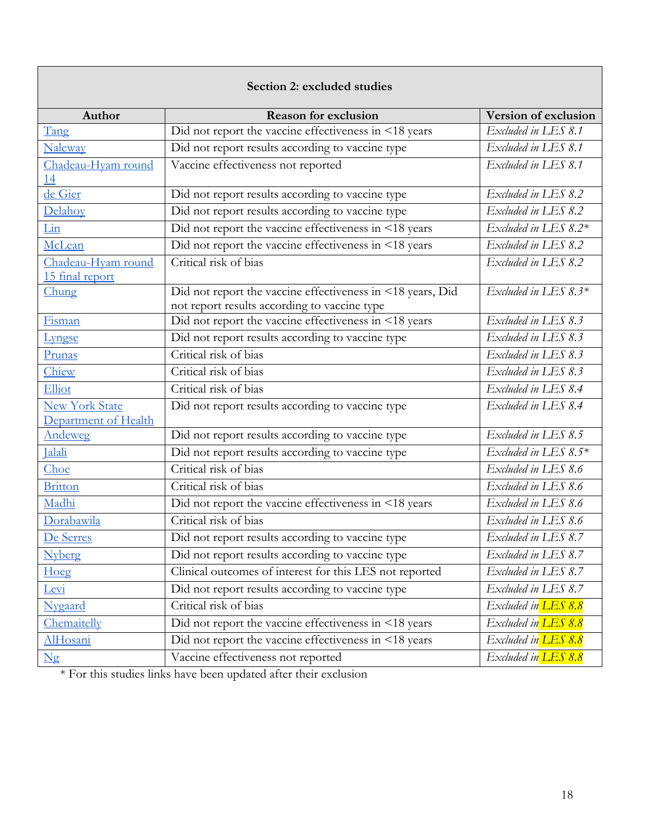<span id="page-17-0"></span>

| Section 2: excluded studies            |                                                                                                            |                      |  |  |  |
|----------------------------------------|------------------------------------------------------------------------------------------------------------|----------------------|--|--|--|
| Author                                 | <b>Reason for exclusion</b>                                                                                | Version of exclusion |  |  |  |
| Tang                                   | Did not report the vaccine effectiveness in <18 years                                                      | Excluded in LES 8.1  |  |  |  |
| <b>Naleway</b>                         | Did not report results according to vaccine type                                                           | Excluded in LES 8.1  |  |  |  |
| Chadeau-Hyam round<br><u>14</u>        | Vaccine effectiveness not reported                                                                         | Excluded in LES 8.1  |  |  |  |
| de Gier                                | Did not report results according to vaccine type                                                           | Excluded in LES 8.2  |  |  |  |
| Delahoy                                | Did not report results according to vaccine type                                                           | Excluded in LES 8.2  |  |  |  |
| Lin                                    | Did not report the vaccine effectiveness in <18 years                                                      | Excluded in LES 8.2* |  |  |  |
| McLean                                 | Did not report the vaccine effectiveness in <18 years                                                      | Excluded in LES 8.2  |  |  |  |
| Chadeau-Hyam round<br>15 final report  | Critical risk of bias                                                                                      | Excluded in LES 8.2  |  |  |  |
| Chung                                  | Did not report the vaccine effectiveness in <18 years, Did<br>not report results according to vaccine type | Excluded in LES 8.3* |  |  |  |
| Fisman                                 | Did not report the vaccine effectiveness in <18 years                                                      | Excluded in LES 8.3  |  |  |  |
| Lyngse                                 | Did not report results according to vaccine type                                                           | Excluded in LES 8.3  |  |  |  |
| Prunas                                 | Critical risk of bias                                                                                      | Excluded in LES 8.3  |  |  |  |
| Chiew                                  | Critical risk of bias                                                                                      | Excluded in LES 8.3  |  |  |  |
| Elliot                                 | Critical risk of bias                                                                                      | Excluded in LES 8.4  |  |  |  |
| New York State<br>Department of Health | Did not report results according to vaccine type                                                           | Excluded in LES 8.4  |  |  |  |
| Andeweg                                | Did not report results according to vaccine type                                                           | Excluded in LES 8.5  |  |  |  |
| <b>Ialali</b>                          | Did not report results according to vaccine type                                                           | Excluded in LES 8.5* |  |  |  |
| Choe                                   | Critical risk of bias                                                                                      | Excluded in LES 8.6  |  |  |  |
| <b>Britton</b>                         | Critical risk of bias                                                                                      | Excluded in LES 8.6  |  |  |  |
| Madhi                                  | Did not report the vaccine effectiveness in <18 years                                                      | Excluded in LES 8.6  |  |  |  |
| Dorabawila                             | Critical risk of bias                                                                                      | Excluded in LES 8.6  |  |  |  |
| De Serres                              | Did not report results according to vaccine type                                                           | Excluded in LES 8.7  |  |  |  |
| <b>Nyberg</b>                          | Did not report results according to vaccine type                                                           | Excluded in LES 8.7  |  |  |  |
| Hoeg                                   | Clinical outcomes of interest for this LES not reported                                                    | Excluded in LES 8.7  |  |  |  |
| Levi                                   | Did not report results according to vaccine type                                                           | Excluded in LES 8.7  |  |  |  |
| Nygaard                                | Critical risk of bias                                                                                      | Excluded in LES 8.8  |  |  |  |
| Chemaitelly                            | Did not report the vaccine effectiveness in <18 years                                                      | Excluded in LES 8.8  |  |  |  |
| <b>AlHosani</b>                        | Did not report the vaccine effectiveness in <18 years                                                      | Excluded in LES 8.8  |  |  |  |
| $\overline{\text{Ng}}$                 | Vaccine effectiveness not reported                                                                         | Excluded in LES 8.8  |  |  |  |

\* For this studies links have been updated after their exclusion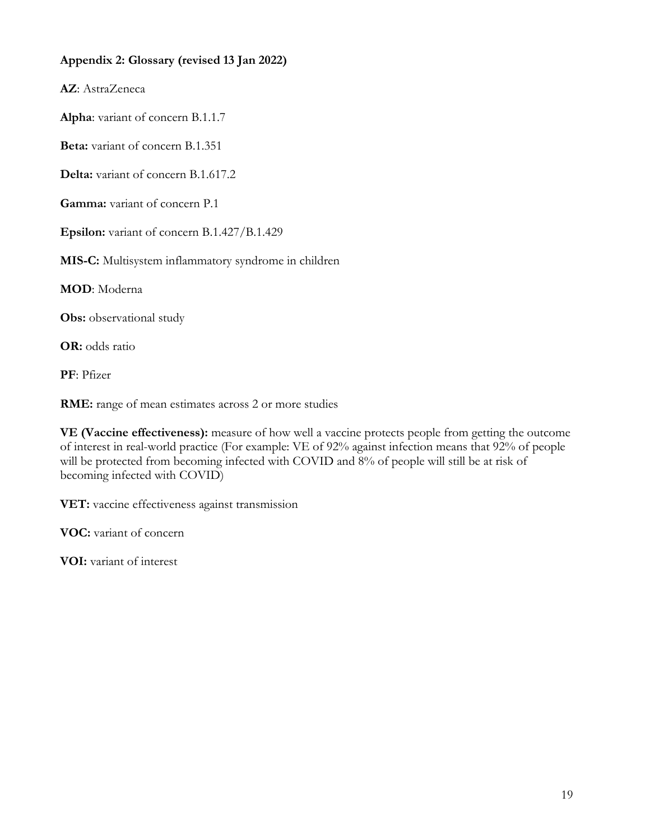### <span id="page-18-0"></span>**Appendix 2: Glossary (revised 13 Jan 2022)**

**AZ**: AstraZeneca

**Alpha**: variant of concern B.1.1.7

**Beta:** variant of concern B.1.351

**Delta:** variant of concern B.1.617.2

**Gamma:** variant of concern P.1

**Epsilon:** variant of concern B.1.427/B.1.429

**MIS-C:** Multisystem inflammatory syndrome in children

**MOD**: Moderna

**Obs:** observational study

**OR:** odds ratio

**PF**: Pfizer

**RME:** range of mean estimates across 2 or more studies

**VE (Vaccine effectiveness):** measure of how well a vaccine protects people from getting the outcome of interest in real-world practice (For example: VE of 92% against infection means that 92% of people will be protected from becoming infected with COVID and 8% of people will still be at risk of becoming infected with COVID)

**VET:** vaccine effectiveness against transmission

**VOC:** variant of concern

**VOI:** variant of interest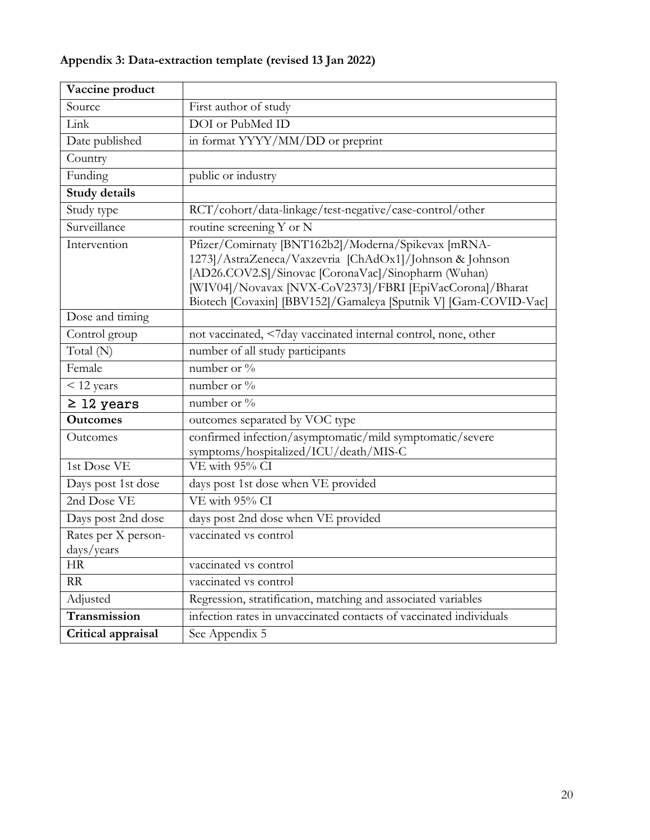# <span id="page-19-0"></span>**Appendix 3: Data-extraction template (revised 13 Jan 2022)**

<span id="page-19-1"></span>

| Vaccine product                   |                                                                                                                                                                                                                                                                                                      |
|-----------------------------------|------------------------------------------------------------------------------------------------------------------------------------------------------------------------------------------------------------------------------------------------------------------------------------------------------|
| Source                            | First author of study                                                                                                                                                                                                                                                                                |
| Link                              | DOI or PubMed ID                                                                                                                                                                                                                                                                                     |
| Date published                    | in format YYYY/MM/DD or preprint                                                                                                                                                                                                                                                                     |
| Country                           |                                                                                                                                                                                                                                                                                                      |
| Funding                           | public or industry                                                                                                                                                                                                                                                                                   |
| <b>Study details</b>              |                                                                                                                                                                                                                                                                                                      |
| Study type                        | RCT/cohort/data-linkage/test-negative/case-control/other                                                                                                                                                                                                                                             |
| Surveillance                      | routine screening Y or N                                                                                                                                                                                                                                                                             |
| Intervention                      | Pfizer/Comirnaty [BNT162b2]/Moderna/Spikevax [mRNA-<br>1273]/AstraZeneca/Vaxzevria [ChAdOx1]/Johnson & Johnson<br>[AD26.COV2.S]/Sinovac [CoronaVac]/Sinopharm (Wuhan)<br>[WIV04]/Novavax [NVX-CoV2373]/FBRI [EpiVacCorona]/Bharat<br>Biotech [Covaxin] [BBV152]/Gamaleya [Sputnik V] [Gam-COVID-Vac] |
| Dose and timing                   |                                                                                                                                                                                                                                                                                                      |
| Control group                     | not vaccinated, <7day vaccinated internal control, none, other                                                                                                                                                                                                                                       |
| Total (N)                         | number of all study participants                                                                                                                                                                                                                                                                     |
| Female                            | number or %                                                                                                                                                                                                                                                                                          |
| < 12 years                        | number or %                                                                                                                                                                                                                                                                                          |
| $\geq$ 12 years                   | number or %                                                                                                                                                                                                                                                                                          |
| <b>Outcomes</b>                   | outcomes separated by VOC type                                                                                                                                                                                                                                                                       |
| Outcomes                          | confirmed infection/asymptomatic/mild symptomatic/severe<br>symptoms/hospitalized/ICU/death/MIS-C                                                                                                                                                                                                    |
| 1st Dose VE                       | VE with 95% CI                                                                                                                                                                                                                                                                                       |
| Days post 1st dose                | days post 1st dose when VE provided                                                                                                                                                                                                                                                                  |
| 2nd Dose VE                       | VE with 95% CI                                                                                                                                                                                                                                                                                       |
| Days post 2nd dose                | days post 2nd dose when VE provided                                                                                                                                                                                                                                                                  |
| Rates per X person-<br>days/years | vaccinated vs control                                                                                                                                                                                                                                                                                |
| <b>HR</b>                         | vaccinated vs control                                                                                                                                                                                                                                                                                |
| RR                                | vaccinated vs control                                                                                                                                                                                                                                                                                |
| Adjusted                          | Regression, stratification, matching and associated variables                                                                                                                                                                                                                                        |
| Transmission                      | infection rates in unvaccinated contacts of vaccinated individuals                                                                                                                                                                                                                                   |
| Critical appraisal                | See Appendix 5                                                                                                                                                                                                                                                                                       |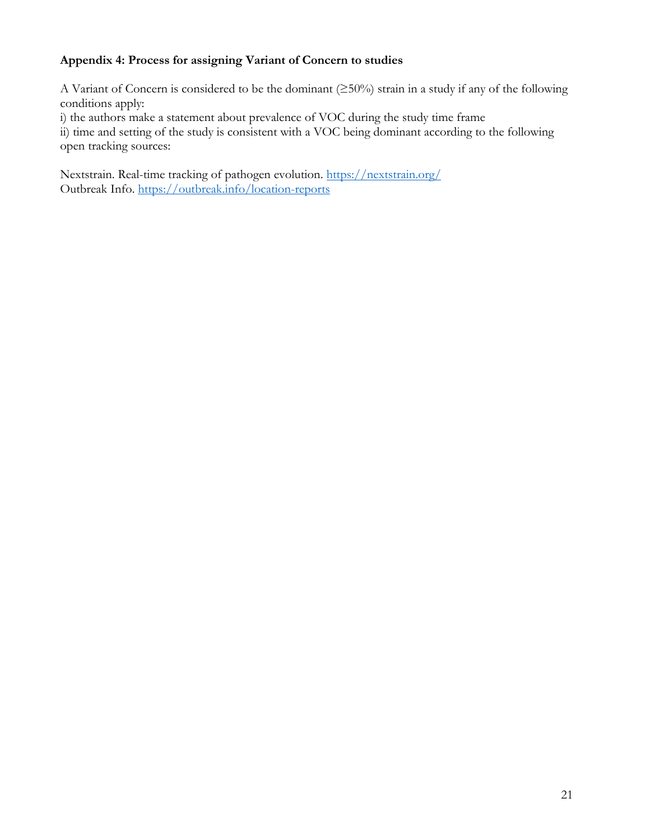# **Appendix 4: Process for assigning Variant of Concern to studies**

A Variant of Concern is considered to be the dominant (≥50%) strain in a study if any of the following conditions apply:

i) the authors make a statement about prevalence of VOC during the study time frame

ii) time and setting of the study is consistent with a VOC being dominant according to the following open tracking sources:

Nextstrain. Real-time tracking of pathogen evolution.<https://nextstrain.org/> Outbreak Info.<https://outbreak.info/location-reports>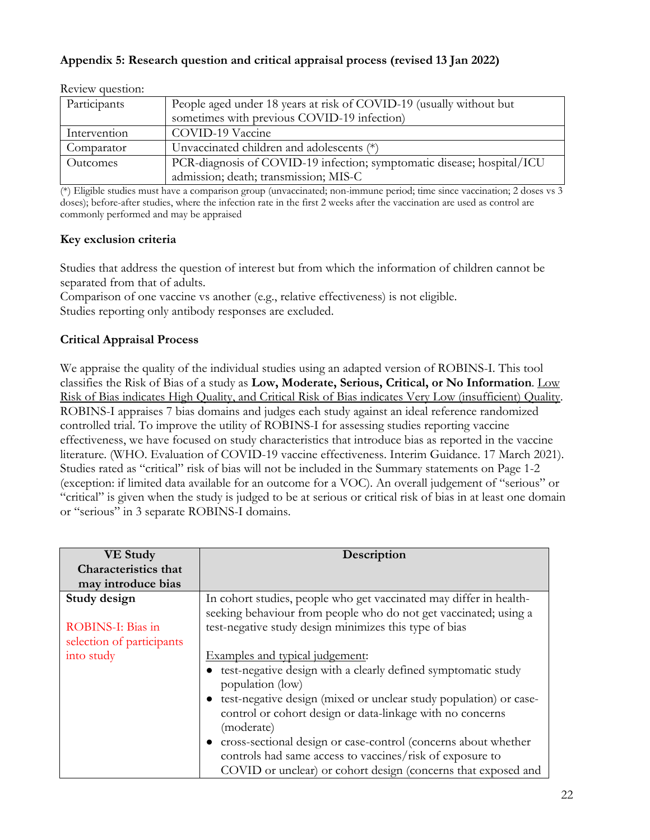### <span id="page-21-0"></span>**Appendix 5: Research question and critical appraisal process (revised 13 Jan 2022)**

| Participants    | People aged under 18 years at risk of COVID-19 (usually without but<br>sometimes with previous COVID-19 infection) |
|-----------------|--------------------------------------------------------------------------------------------------------------------|
| Intervention    | COVID-19 Vaccine                                                                                                   |
| Comparator      | Unvaccinated children and adolescents (*)                                                                          |
| <b>Outcomes</b> | PCR-diagnosis of COVID-19 infection; symptomatic disease; hospital/ICU                                             |
|                 | admission; death; transmission; MIS-C                                                                              |

Review question:

(\*) Eligible studies must have a comparison group (unvaccinated; non-immune period; time since vaccination; 2 doses vs 3 doses); before-after studies, where the infection rate in the first 2 weeks after the vaccination are used as control are commonly performed and may be appraised

### **Key exclusion criteria**

Studies that address the question of interest but from which the information of children cannot be separated from that of adults.

Comparison of one vaccine vs another (e.g., relative effectiveness) is not eligible. Studies reporting only antibody responses are excluded.

### **Critical Appraisal Process**

We appraise the quality of the individual studies using an adapted version of ROBINS-I. This tool classifies the Risk of Bias of a study as **Low, Moderate, Serious, Critical, or No Information**. Low Risk of Bias indicates High Quality, and Critical Risk of Bias indicates Very Low (insufficient) Quality. ROBINS-I appraises 7 bias domains and judges each study against an ideal reference randomized controlled trial. To improve the utility of ROBINS-I for assessing studies reporting vaccine effectiveness, we have focused on study characteristics that introduce bias as reported in the vaccine literature. (WHO. Evaluation of COVID-19 vaccine effectiveness. Interim Guidance. 17 March 2021). Studies rated as "critical" risk of bias will not be included in the Summary statements on Page 1-2 (exception: if limited data available for an outcome for a VOC). An overall judgement of "serious" or "critical" is given when the study is judged to be at serious or critical risk of bias in at least one domain or "serious" in 3 separate ROBINS-I domains.

| <b>VE Study</b>             | Description                                                                                                                            |
|-----------------------------|----------------------------------------------------------------------------------------------------------------------------------------|
| <b>Characteristics that</b> |                                                                                                                                        |
| may introduce bias          |                                                                                                                                        |
| Study design                | In cohort studies, people who get vaccinated may differ in health-<br>seeking behaviour from people who do not get vaccinated; using a |
| ROBINS-I: Bias in           | test-negative study design minimizes this type of bias                                                                                 |
| selection of participants   |                                                                                                                                        |
| into study                  | Examples and typical judgement:                                                                                                        |
|                             | test-negative design with a clearly defined symptomatic study<br>population (low)                                                      |
|                             | test-negative design (mixed or unclear study population) or case-                                                                      |
|                             | control or cohort design or data-linkage with no concerns                                                                              |
|                             | (moderate)                                                                                                                             |
|                             | cross-sectional design or case-control (concerns about whether                                                                         |
|                             | controls had same access to vaccines/risk of exposure to                                                                               |
|                             | COVID or unclear) or cohort design (concerns that exposed and                                                                          |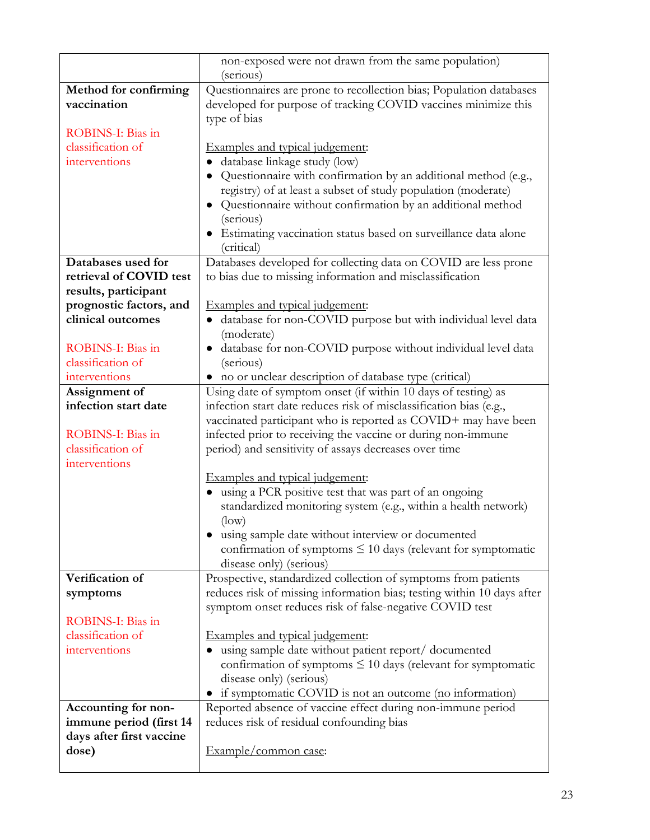|                                        | non-exposed were not drawn from the same population)<br>(serious)          |
|----------------------------------------|----------------------------------------------------------------------------|
| Method for confirming                  | Questionnaires are prone to recollection bias; Population databases        |
| vaccination                            | developed for purpose of tracking COVID vaccines minimize this             |
|                                        | type of bias                                                               |
| ROBINS-I: Bias in                      |                                                                            |
| classification of                      | Examples and typical judgement:                                            |
| interventions                          | database linkage study (low)                                               |
|                                        | Questionnaire with confirmation by an additional method (e.g.,             |
|                                        | registry) of at least a subset of study population (moderate)              |
|                                        | Questionnaire without confirmation by an additional method<br>$\bullet$    |
|                                        | (serious)                                                                  |
|                                        | • Estimating vaccination status based on surveillance data alone           |
|                                        | (critical)                                                                 |
| Databases used for                     | Databases developed for collecting data on COVID are less prone            |
| retrieval of COVID test                | to bias due to missing information and misclassification                   |
| results, participant                   |                                                                            |
| prognostic factors, and                | Examples and typical judgement:                                            |
| clinical outcomes                      | database for non-COVID purpose but with individual level data<br>$\bullet$ |
|                                        | (moderate)                                                                 |
| ROBINS-I: Bias in                      | · database for non-COVID purpose without individual level data             |
| classification of                      | (serious)                                                                  |
| interventions                          | • no or unclear description of database type (critical)                    |
| Assignment of                          | Using date of symptom onset (if within 10 days of testing) as              |
| infection start date                   | infection start date reduces risk of misclassification bias (e.g.,         |
|                                        | vaccinated participant who is reported as COVID+ may have been             |
| ROBINS-I: Bias in<br>classification of | infected prior to receiving the vaccine or during non-immune               |
| interventions                          | period) and sensitivity of assays decreases over time                      |
|                                        | Examples and typical judgement:                                            |
|                                        | using a PCR positive test that was part of an ongoing                      |
|                                        | standardized monitoring system (e.g., within a health network)             |
|                                        | $(\text{low})$                                                             |
|                                        | using sample date without interview or documented                          |
|                                        | confirmation of symptoms $\leq 10$ days (relevant for symptomatic          |
|                                        | disease only) (serious)                                                    |
| Verification of                        | Prospective, standardized collection of symptoms from patients             |
| symptoms                               | reduces risk of missing information bias; testing within 10 days after     |
|                                        | symptom onset reduces risk of false-negative COVID test                    |
| ROBINS-I: Bias in                      |                                                                            |
| classification of                      | Examples and typical judgement:                                            |
| interventions                          | using sample date without patient report/ documented                       |
|                                        | confirmation of symptoms $\leq 10$ days (relevant for symptomatic          |
|                                        | disease only) (serious)                                                    |
|                                        | if symptomatic COVID is not an outcome (no information)                    |
| Accounting for non-                    | Reported absence of vaccine effect during non-immune period                |
| immune period (first 14                | reduces risk of residual confounding bias                                  |
| days after first vaccine               |                                                                            |
| dose)                                  | Example/common case:                                                       |
|                                        |                                                                            |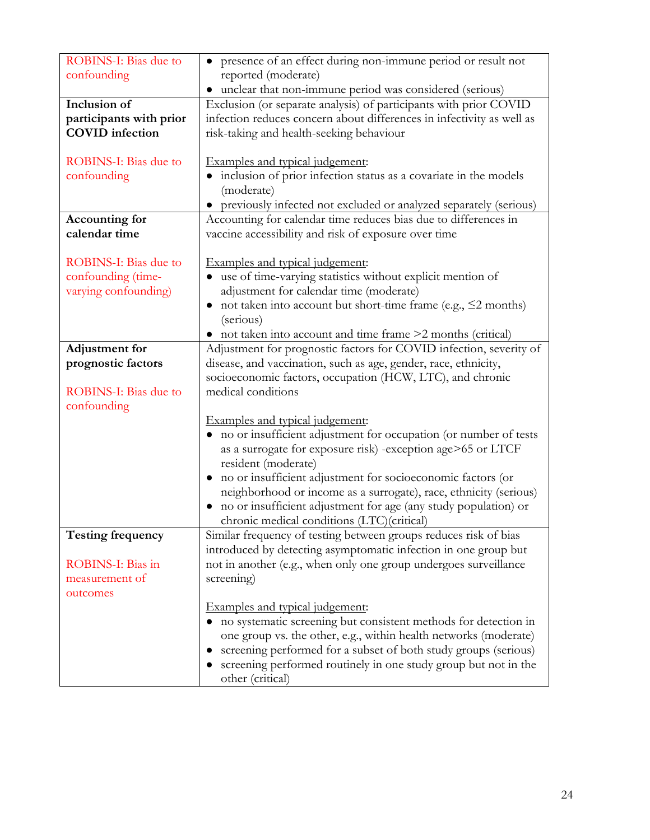| ROBINS-I: Bias due to        | • presence of an effect during non-immune period or result not                     |
|------------------------------|------------------------------------------------------------------------------------|
| confounding                  | reported (moderate)                                                                |
|                              | unclear that non-immune period was considered (serious)<br>$\bullet$               |
| Inclusion of                 | Exclusion (or separate analysis) of participants with prior COVID                  |
| participants with prior      | infection reduces concern about differences in infectivity as well as              |
| <b>COVID</b> infection       | risk-taking and health-seeking behaviour                                           |
|                              |                                                                                    |
| ROBINS-I: Bias due to        | Examples and typical judgement:                                                    |
| confounding                  | • inclusion of prior infection status as a covariate in the models                 |
|                              | (moderate)                                                                         |
|                              | previously infected not excluded or analyzed separately (serious)                  |
| Accounting for               | Accounting for calendar time reduces bias due to differences in                    |
| calendar time                | vaccine accessibility and risk of exposure over time                               |
|                              |                                                                                    |
| <b>ROBINS-I: Bias due to</b> | Examples and typical judgement:                                                    |
| confounding (time-           | use of time-varying statistics without explicit mention of                         |
| varying confounding)         | adjustment for calendar time (moderate)                                            |
|                              | not taken into account but short-time frame (e.g., $\leq$ 2 months)                |
|                              | (serious)                                                                          |
|                              | • not taken into account and time frame >2 months (critical)                       |
| <b>Adjustment</b> for        | Adjustment for prognostic factors for COVID infection, severity of                 |
| prognostic factors           | disease, and vaccination, such as age, gender, race, ethnicity,                    |
|                              | socioeconomic factors, occupation (HCW, LTC), and chronic                          |
| <b>ROBINS-I: Bias due to</b> | medical conditions                                                                 |
| confounding                  |                                                                                    |
|                              | Examples and typical judgement:                                                    |
|                              | • no or insufficient adjustment for occupation (or number of tests                 |
|                              | as a surrogate for exposure risk) -exception age>65 or LTCF<br>resident (moderate) |
|                              | no or insufficient adjustment for socioeconomic factors (or                        |
|                              | neighborhood or income as a surrogate), race, ethnicity (serious)                  |
|                              | no or insufficient adjustment for age (any study population) or                    |
|                              | chronic medical conditions (LTC)(critical)                                         |
| <b>Testing frequency</b>     | Similar frequency of testing between groups reduces risk of bias                   |
|                              | introduced by detecting asymptomatic infection in one group but                    |
| ROBINS-I: Bias in            | not in another (e.g., when only one group undergoes surveillance                   |
| measurement of               | screening)                                                                         |
| outcomes                     |                                                                                    |
|                              | Examples and typical judgement:                                                    |
|                              | no systematic screening but consistent methods for detection in                    |
|                              | one group vs. the other, e.g., within health networks (moderate)                   |
|                              | screening performed for a subset of both study groups (serious)                    |
|                              | screening performed routinely in one study group but not in the                    |
|                              | other (critical)                                                                   |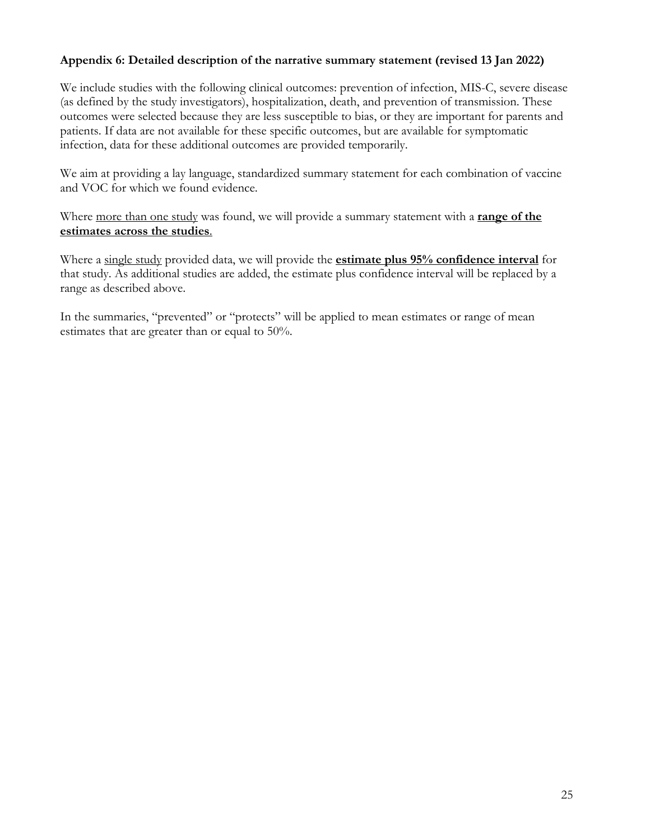### **Appendix 6: Detailed description of the narrative summary statement (revised 13 Jan 2022)**

We include studies with the following clinical outcomes: prevention of infection, MIS-C, severe disease (as defined by the study investigators), hospitalization, death, and prevention of transmission. These outcomes were selected because they are less susceptible to bias, or they are important for parents and patients. If data are not available for these specific outcomes, but are available for symptomatic infection, data for these additional outcomes are provided temporarily.

We aim at providing a lay language, standardized summary statement for each combination of vaccine and VOC for which we found evidence.

Where more than one study was found, we will provide a summary statement with a **range of the estimates across the studies**.

Where a single study provided data, we will provide the **estimate plus 95% confidence interval** for that study. As additional studies are added, the estimate plus confidence interval will be replaced by a range as described above.

In the summaries, "prevented" or "protects" will be applied to mean estimates or range of mean estimates that are greater than or equal to 50%.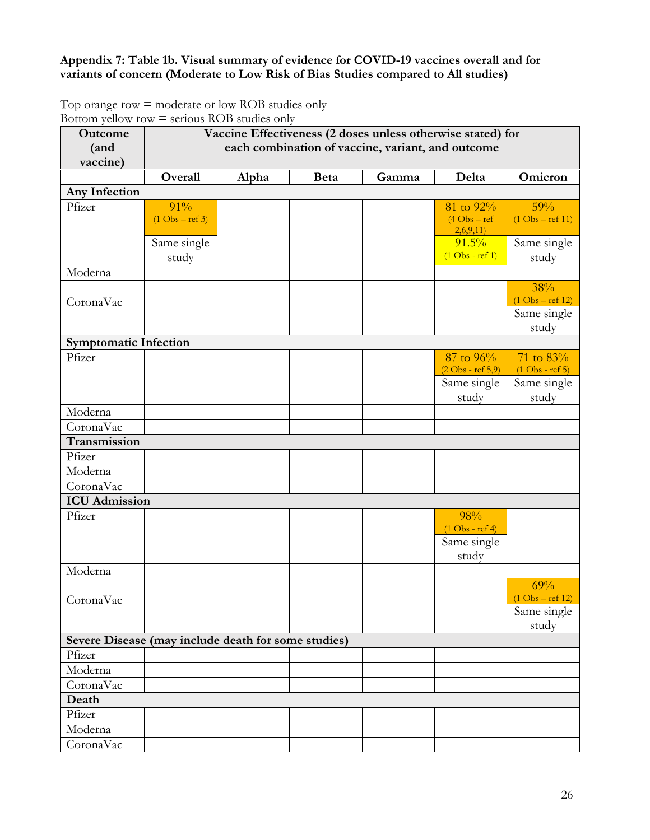## **Appendix 7: Table 1b. Visual summary of evidence for COVID-19 vaccines overall and for variants of concern (Moderate to Low Risk of Bias Studies compared to All studies)**

Top orange row = moderate or low ROB studies only Bottom yellow row  $=$  serious ROB studies only

| Outcome                                             | Vaccine Effectiveness (2 doses unless otherwise stated) for |       |             |       |                                    |                                   |  |
|-----------------------------------------------------|-------------------------------------------------------------|-------|-------------|-------|------------------------------------|-----------------------------------|--|
| (and                                                | each combination of vaccine, variant, and outcome           |       |             |       |                                    |                                   |  |
| vaccine)                                            |                                                             |       |             |       |                                    |                                   |  |
|                                                     | Overall                                                     | Alpha | <b>Beta</b> | Gamma | Delta                              | Omicron                           |  |
| Any Infection                                       |                                                             |       |             |       |                                    |                                   |  |
| Pfizer                                              | 91%                                                         |       |             |       | 81 to 92%                          | 59%                               |  |
|                                                     | $(1 \text{Obs} - \text{ref } 3)$                            |       |             |       | $(4 \text{Obs} - \text{ref})$      | $(1 \text{Obs} - \text{ref } 11)$ |  |
|                                                     | Same single                                                 |       |             |       | 2,6,9,11)<br>$91.5\%$              | Same single                       |  |
|                                                     | study                                                       |       |             |       | $(1 \text{Obs} - \text{ref} 1)$    | study                             |  |
| Moderna                                             |                                                             |       |             |       |                                    |                                   |  |
|                                                     |                                                             |       |             |       |                                    | 38%                               |  |
| CoronaVac                                           |                                                             |       |             |       |                                    | $(1 \text{ Obs} - \text{ref} 12)$ |  |
|                                                     |                                                             |       |             |       |                                    | Same single                       |  |
|                                                     |                                                             |       |             |       |                                    | study                             |  |
| <b>Symptomatic Infection</b>                        |                                                             |       |             |       |                                    |                                   |  |
| Pfizer                                              |                                                             |       |             |       | 87 to 96%                          | 71 to 83%                         |  |
|                                                     |                                                             |       |             |       | $(2 \text{Obs - ref } 5,9)$        | $(1 \text{Obs} - \text{ref } 5)$  |  |
|                                                     |                                                             |       |             |       | Same single                        | Same single                       |  |
|                                                     |                                                             |       |             |       | study                              | study                             |  |
| Moderna                                             |                                                             |       |             |       |                                    |                                   |  |
| CoronaVac                                           |                                                             |       |             |       |                                    |                                   |  |
| Transmission<br>Pfizer                              |                                                             |       |             |       |                                    |                                   |  |
| Moderna                                             |                                                             |       |             |       |                                    |                                   |  |
| CoronaVac                                           |                                                             |       |             |       |                                    |                                   |  |
| <b>ICU</b> Admission                                |                                                             |       |             |       |                                    |                                   |  |
| Pfizer                                              |                                                             |       |             |       | 98%                                |                                   |  |
|                                                     |                                                             |       |             |       | $(1 \text{ Obs } - \text{ref } 4)$ |                                   |  |
|                                                     |                                                             |       |             |       | Same single                        |                                   |  |
|                                                     |                                                             |       |             |       | study                              |                                   |  |
| Moderna                                             |                                                             |       |             |       |                                    |                                   |  |
|                                                     |                                                             |       |             |       |                                    | 69%                               |  |
| CoronaVac                                           |                                                             |       |             |       |                                    | $(1 \text{Obs} - \text{ref } 12)$ |  |
|                                                     |                                                             |       |             |       |                                    | Same single                       |  |
|                                                     |                                                             |       |             |       |                                    | study                             |  |
| Severe Disease (may include death for some studies) |                                                             |       |             |       |                                    |                                   |  |
| Pfizer                                              |                                                             |       |             |       |                                    |                                   |  |
| Moderna                                             |                                                             |       |             |       |                                    |                                   |  |
| CoronaVac                                           |                                                             |       |             |       |                                    |                                   |  |
| Death                                               |                                                             |       |             |       |                                    |                                   |  |
| Pfizer                                              |                                                             |       |             |       |                                    |                                   |  |
| Moderna                                             |                                                             |       |             |       |                                    |                                   |  |
| CoronaVac                                           |                                                             |       |             |       |                                    |                                   |  |